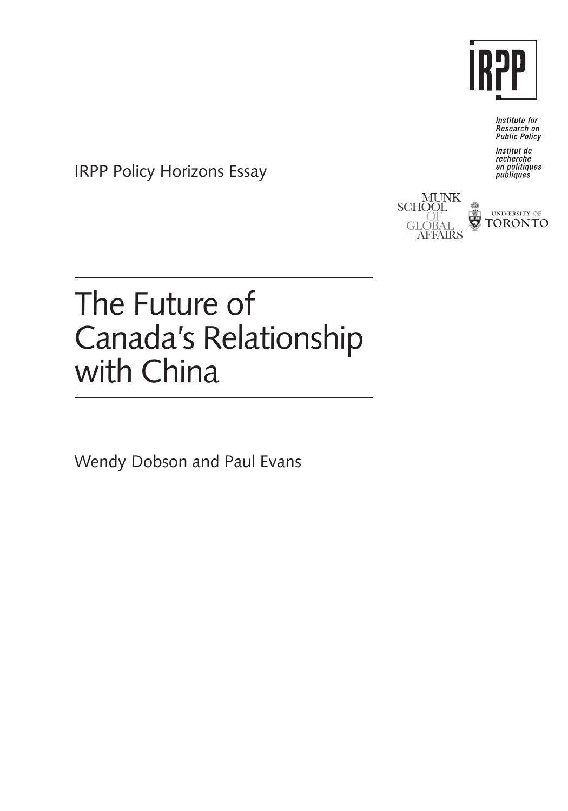

Institute for Research on<br>Public Policy

Institut de recherche en politiques<br>publiques<br>publiques

IRPP Policy Horizons Essay





# The Future of Canada's Relationship with China

Wendy Dobson and Paul Evans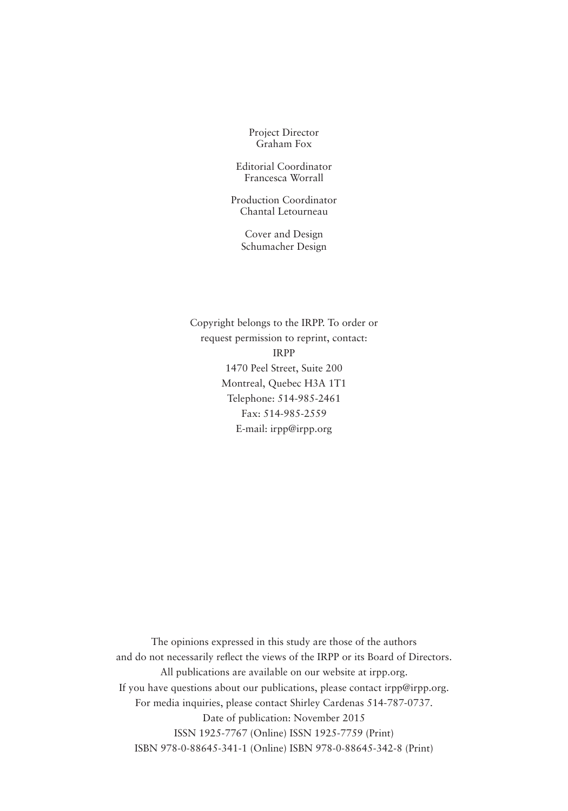Project Director Graham Fox

Editorial Coordinator Francesca Worrall

Production Coordinator Chantal Letourneau

Cover and Design Schumacher Design

Copyright belongs to the IRPP. To order or request permission to reprint, contact: IRPP 1470 Peel Street, Suite 200 Montreal, Quebec H3A 1T1 Telephone: 514-985-2461 Fax: 514-985-2559 E-mail: irpp@irpp.org

The opinions expressed in this study are those of the authors and do not necessarily reflect the views of the IRPP or its Board of Directors. All publications are available on our website at irpp.org. If you have questions about our publications, please contact irpp@irpp.org. For media inquiries, please contact Shirley Cardenas 514-787-0737. Date of publication: November 2015 ISSN 1925-7767 (Online) ISSN 1925-7759 (Print) ISBN 978-0-88645-341-1 (Online) ISBN 978-0-88645-342-8 (Print)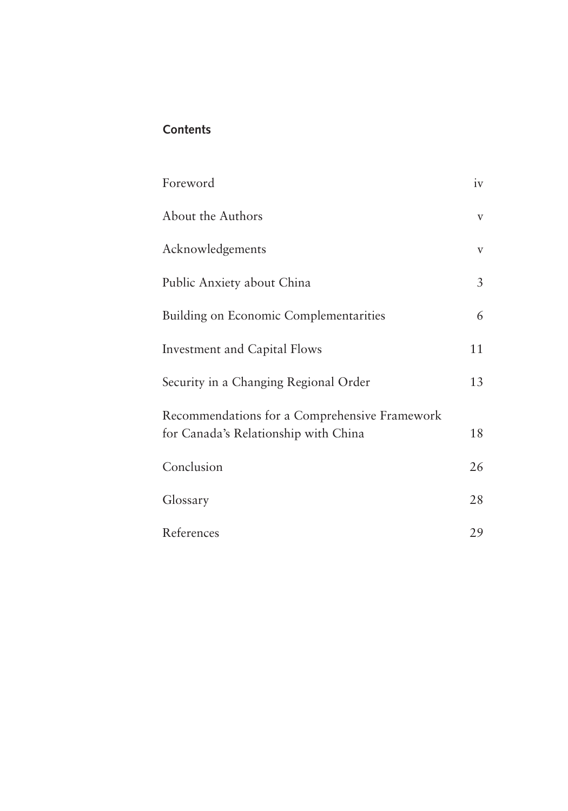# **Contents**

| Foreword                                      | iv             |
|-----------------------------------------------|----------------|
| About the Authors                             | $\mathbf V$    |
| Acknowledgements                              | V              |
| Public Anxiety about China                    | $\mathfrak{Z}$ |
| Building on Economic Complementarities        | 6              |
| <b>Investment and Capital Flows</b>           | 11             |
| Security in a Changing Regional Order         | 13             |
| Recommendations for a Comprehensive Framework |                |
| for Canada's Relationship with China          | 18             |
| Conclusion                                    | 26             |
| Glossary                                      | 28             |
| References                                    | 29             |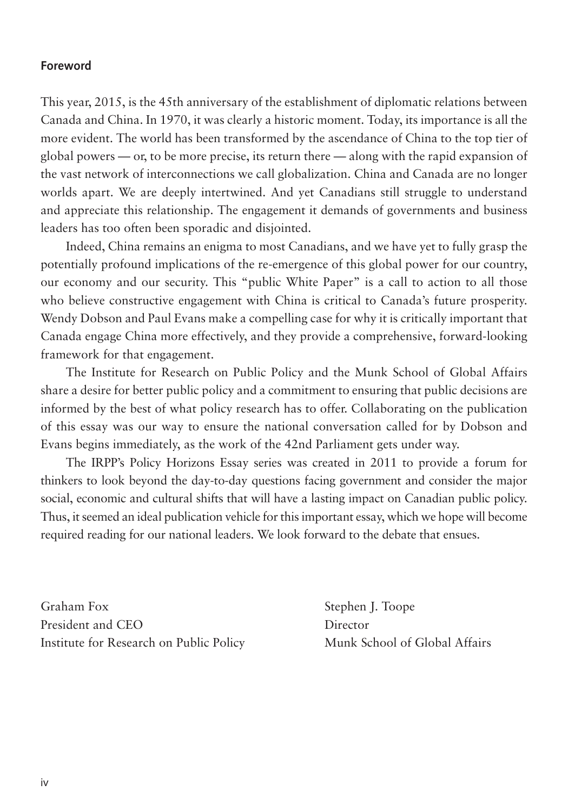#### **Foreword**

This year, 2015, is the 45th anniversary of the establishment of diplomatic relations between Canada and China. In 1970, it was clearly a historic moment. Today, its importance is all the more evident. The world has been transformed by the ascendance of China to the top tier of global powers — or, to be more precise, its return there — along with the rapid expansion of the vast network of interconnections we call globalization. China and Canada are no longer worlds apart. We are deeply intertwined. And yet Canadians still struggle to understand and appreciate this relationship. The engagement it demands of governments and business leaders has too often been sporadic and disjointed.

Indeed, China remains an enigma to most Canadians, and we have yet to fully grasp the potentially profound implications of the re-emergence of this global power for our country, our economy and our security. This "public White Paper" is a call to action to all those who believe constructive engagement with China is critical to Canada's future prosperity. Wendy Dobson and Paul Evans make a compelling case for why it is critically important that Canada engage China more effectively, and they provide a comprehensive, forward-looking framework for that engagement.

The Institute for Research on Public Policy and the Munk School of Global Affairs share a desire for better public policy and a commitment to ensuring that public decisions are informed by the best of what policy research has to offer. Collaborating on the publication of this essay was our way to ensure the national conversation called for by Dobson and Evans begins immediately, as the work of the 42nd Parliament gets under way.

The IRPP's Policy Horizons Essay series was created in 2011 to provide a forum for thinkers to look beyond the day-to-day questions facing government and consider the major social, economic and cultural shifts that will have a lasting impact on Canadian public policy. Thus, it seemed an ideal publication vehicle for this important essay, which we hope will become required reading for our national leaders. We look forward to the debate that ensues.

Graham Fox Stephen J. Toope President and CEO Director Institute for Research on Public Policy Munk School of Global Affairs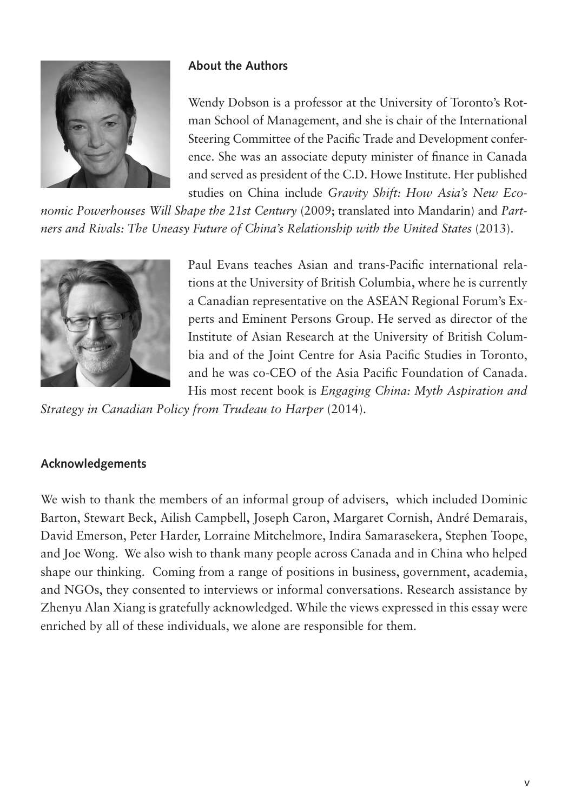

### **About the Authors**

Wendy Dobson is a professor at the University of Toronto's Rotman School of Management, and she is chair of the International Steering Committee of the Pacific Trade and Development conference. She was an associate deputy minister of finance in Canada and served as president of the C.D. Howe Institute. Her published studies on China include *Gravity Shift: How Asia's New Eco-*

*nomic Powerhouses Will Shape the 21st Century* (2009; translated into Mandarin) and *Partners and Rivals: The Uneasy Future of China's Relationship with the United States* (2013).



Paul Evans teaches Asian and trans-Pacific international relations at the University of British Columbia, where he is currently a Canadian representative on the ASEAN Regional Forum's Experts and Eminent Persons Group. He served as director of the Institute of Asian Research at the University of British Columbia and of the Joint Centre for Asia Pacific Studies in Toronto, and he was co-CEO of the Asia Pacific Foundation of Canada. His most recent book is *Engaging China: Myth Aspiration and* 

*Strategy in Canadian Policy from Trudeau to Harper* (2014).

#### **Acknowledgements**

We wish to thank the members of an informal group of advisers, which included Dominic Barton, Stewart Beck, Ailish Campbell, Joseph Caron, Margaret Cornish, André Demarais, David Emerson, Peter Harder, Lorraine Mitchelmore, Indira Samarasekera, Stephen Toope, and Joe Wong. We also wish to thank many people across Canada and in China who helped shape our thinking. Coming from a range of positions in business, government, academia, and NGOs, they consented to interviews or informal conversations. Research assistance by Zhenyu Alan Xiang is gratefully acknowledged. While the views expressed in this essay were enriched by all of these individuals, we alone are responsible for them.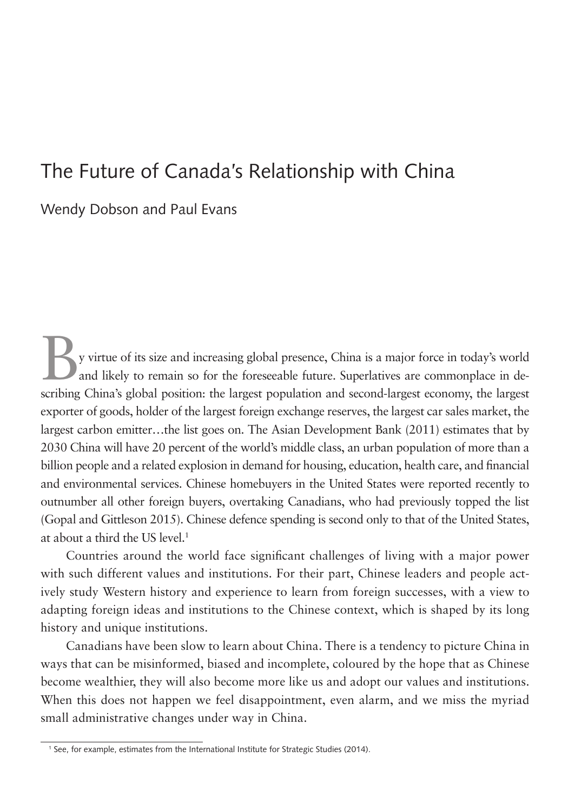# The Future of Canada's Relationship with China

Wendy Dobson and Paul Evans

By virtue of its size and increasing global presence, China is a major force in today's world and likely to remain so for the foreseeable future. Superlatives are commonplace in describing China's global position: the largest population and second-largest economy, the largest exporter of goods, holder of the largest foreign exchange reserves, the largest car sales market, the largest carbon emitter…the list goes on. The Asian Development Bank (2011) estimates that by 2030 China will have 20 percent of the world's middle class, an urban population of more than a billion people and a related explosion in demand for housing, education, health care, and financial and environmental services. Chinese homebuyers in the United States were reported recently to outnumber all other foreign buyers, overtaking Canadians, who had previously topped the list (Gopal and Gittleson 2015). Chinese defence spending is second only to that of the United States, at about a third the US level.<sup>1</sup>

Countries around the world face significant challenges of living with a major power with such different values and institutions. For their part, Chinese leaders and people actively study Western history and experience to learn from foreign successes, with a view to adapting foreign ideas and institutions to the Chinese context, which is shaped by its long history and unique institutions.

Canadians have been slow to learn about China. There is a tendency to picture China in ways that can be misinformed, biased and incomplete, coloured by the hope that as Chinese become wealthier, they will also become more like us and adopt our values and institutions. When this does not happen we feel disappointment, even alarm, and we miss the myriad small administrative changes under way in China.

<sup>1</sup> See, for example, estimates from the International Institute for Strategic Studies (2014).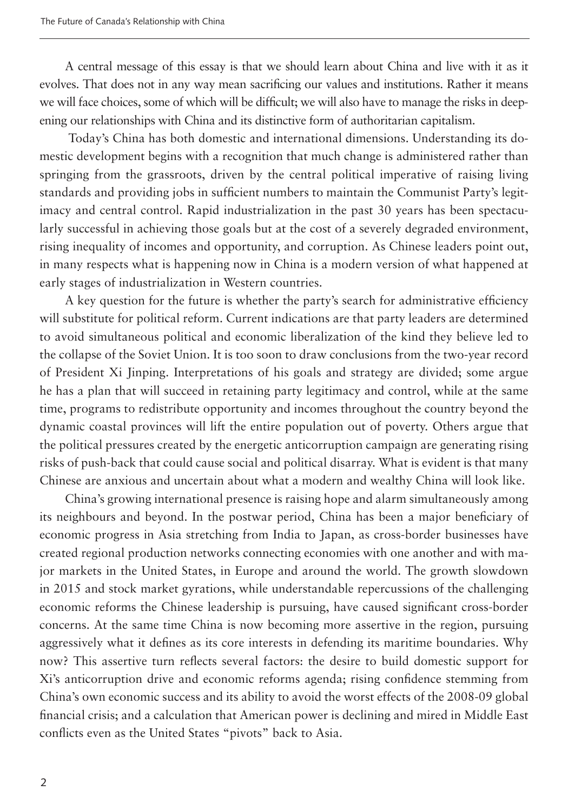A central message of this essay is that we should learn about China and live with it as it evolves. That does not in any way mean sacrificing our values and institutions. Rather it means we will face choices, some of which will be difficult; we will also have to manage the risks in deepening our relationships with China and its distinctive form of authoritarian capitalism.

 Today's China has both domestic and international dimensions. Understanding its domestic development begins with a recognition that much change is administered rather than springing from the grassroots, driven by the central political imperative of raising living standards and providing jobs in sufficient numbers to maintain the Communist Party's legitimacy and central control. Rapid industrialization in the past 30 years has been spectacularly successful in achieving those goals but at the cost of a severely degraded environment, rising inequality of incomes and opportunity, and corruption. As Chinese leaders point out, in many respects what is happening now in China is a modern version of what happened at early stages of industrialization in Western countries.

A key question for the future is whether the party's search for administrative efficiency will substitute for political reform. Current indications are that party leaders are determined to avoid simultaneous political and economic liberalization of the kind they believe led to the collapse of the Soviet Union. It is too soon to draw conclusions from the two-year record of President Xi Jinping. Interpretations of his goals and strategy are divided; some argue he has a plan that will succeed in retaining party legitimacy and control, while at the same time, programs to redistribute opportunity and incomes throughout the country beyond the dynamic coastal provinces will lift the entire population out of poverty. Others argue that the political pressures created by the energetic anticorruption campaign are generating rising risks of push-back that could cause social and political disarray. What is evident is that many Chinese are anxious and uncertain about what a modern and wealthy China will look like.

China's growing international presence is raising hope and alarm simultaneously among its neighbours and beyond. In the postwar period, China has been a major beneficiary of economic progress in Asia stretching from India to Japan, as cross-border businesses have created regional production networks connecting economies with one another and with major markets in the United States, in Europe and around the world. The growth slowdown in 2015 and stock market gyrations, while understandable repercussions of the challenging economic reforms the Chinese leadership is pursuing, have caused significant cross-border concerns. At the same time China is now becoming more assertive in the region, pursuing aggressively what it defines as its core interests in defending its maritime boundaries. Why now? This assertive turn reflects several factors: the desire to build domestic support for Xi's anticorruption drive and economic reforms agenda; rising confidence stemming from China's own economic success and its ability to avoid the worst effects of the 2008-09 global financial crisis; and a calculation that American power is declining and mired in Middle East conflicts even as the United States "pivots" back to Asia.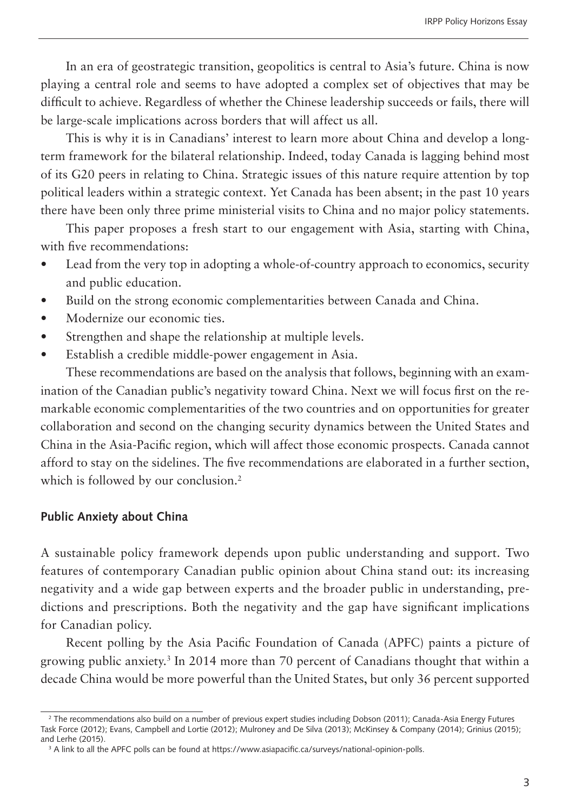In an era of geostrategic transition, geopolitics is central to Asia's future. China is now playing a central role and seems to have adopted a complex set of objectives that may be difficult to achieve. Regardless of whether the Chinese leadership succeeds or fails, there will be large-scale implications across borders that will affect us all.

This is why it is in Canadians' interest to learn more about China and develop a longterm framework for the bilateral relationship. Indeed, today Canada is lagging behind most of its G20 peers in relating to China. Strategic issues of this nature require attention by top political leaders within a strategic context. Yet Canada has been absent; in the past 10 years there have been only three prime ministerial visits to China and no major policy statements.

This paper proposes a fresh start to our engagement with Asia, starting with China, with five recommendations:

- Lead from the very top in adopting a whole-of-country approach to economics, security and public education.
- Build on the strong economic complementarities between Canada and China.
- Modernize our economic ties.
- Strengthen and shape the relationship at multiple levels.
- • Establish a credible middle-power engagement in Asia.

These recommendations are based on the analysis that follows, beginning with an examination of the Canadian public's negativity toward China. Next we will focus first on the remarkable economic complementarities of the two countries and on opportunities for greater collaboration and second on the changing security dynamics between the United States and China in the Asia-Pacific region, which will affect those economic prospects. Canada cannot afford to stay on the sidelines. The five recommendations are elaborated in a further section, which is followed by our conclusion.<sup>2</sup>

#### **Public Anxiety about China**

A sustainable policy framework depends upon public understanding and support. Two features of contemporary Canadian public opinion about China stand out: its increasing negativity and a wide gap between experts and the broader public in understanding, predictions and prescriptions. Both the negativity and the gap have significant implications for Canadian policy.

Recent polling by the Asia Pacific Foundation of Canada (APFC) paints a picture of growing public anxiety.3 In 2014 more than 70 percent of Canadians thought that within a decade China would be more powerful than the United States, but only 36 percent supported

<sup>2</sup> The recommendations also build on a number of previous expert studies including Dobson (2011); Canada-Asia Energy Futures Task Force (2012); Evans, Campbell and Lortie (2012); Mulroney and De Silva (2013); McKinsey & Company (2014); Grinius (2015); and Lerhe (2015).

<sup>3</sup> A link to all the APFC polls can be found at https://www.asiapacific.ca/surveys/national-opinion-polls.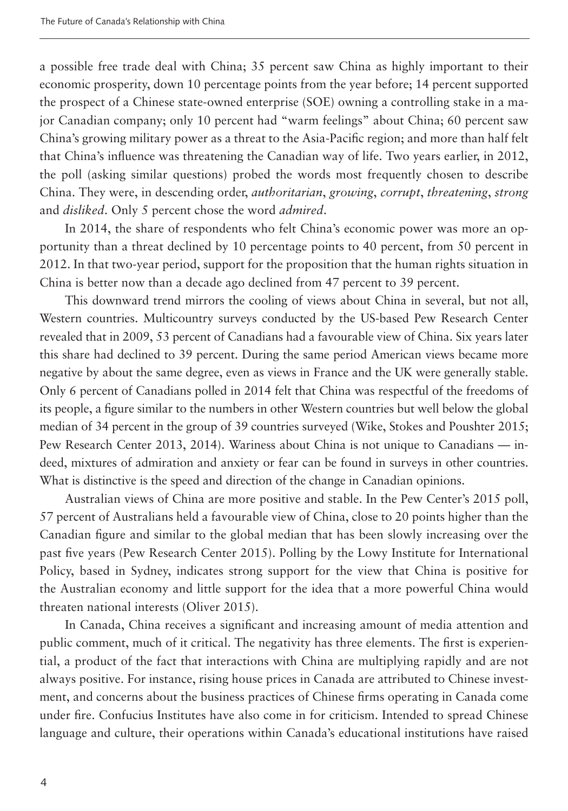a possible free trade deal with China; 35 percent saw China as highly important to their economic prosperity, down 10 percentage points from the year before; 14 percent supported the prospect of a Chinese state-owned enterprise (SOE) owning a controlling stake in a major Canadian company; only 10 percent had "warm feelings" about China; 60 percent saw China's growing military power as a threat to the Asia-Pacific region; and more than half felt that China's influence was threatening the Canadian way of life. Two years earlier, in 2012, the poll (asking similar questions) probed the words most frequently chosen to describe China. They were, in descending order, *authoritarian*, *growing*, *corrupt*, *threatening*, *strong* and *disliked*. Only 5 percent chose the word *admired*.

In 2014, the share of respondents who felt China's economic power was more an opportunity than a threat declined by 10 percentage points to 40 percent, from 50 percent in 2012. In that two-year period, support for the proposition that the human rights situation in China is better now than a decade ago declined from 47 percent to 39 percent.

This downward trend mirrors the cooling of views about China in several, but not all, Western countries. Multicountry surveys conducted by the US-based Pew Research Center revealed that in 2009, 53 percent of Canadians had a favourable view of China. Six years later this share had declined to 39 percent. During the same period American views became more negative by about the same degree, even as views in France and the UK were generally stable. Only 6 percent of Canadians polled in 2014 felt that China was respectful of the freedoms of its people, a figure similar to the numbers in other Western countries but well below the global median of 34 percent in the group of 39 countries surveyed (Wike, Stokes and Poushter 2015; Pew Research Center 2013, 2014). Wariness about China is not unique to Canadians — indeed, mixtures of admiration and anxiety or fear can be found in surveys in other countries. What is distinctive is the speed and direction of the change in Canadian opinions.

Australian views of China are more positive and stable. In the Pew Center's 2015 poll, 57 percent of Australians held a favourable view of China, close to 20 points higher than the Canadian figure and similar to the global median that has been slowly increasing over the past five years (Pew Research Center 2015). Polling by the Lowy Institute for International Policy, based in Sydney, indicates strong support for the view that China is positive for the Australian economy and little support for the idea that a more powerful China would threaten national interests (Oliver 2015).

In Canada, China receives a significant and increasing amount of media attention and public comment, much of it critical. The negativity has three elements. The first is experiential, a product of the fact that interactions with China are multiplying rapidly and are not always positive. For instance, rising house prices in Canada are attributed to Chinese investment, and concerns about the business practices of Chinese firms operating in Canada come under fire. Confucius Institutes have also come in for criticism. Intended to spread Chinese language and culture, their operations within Canada's educational institutions have raised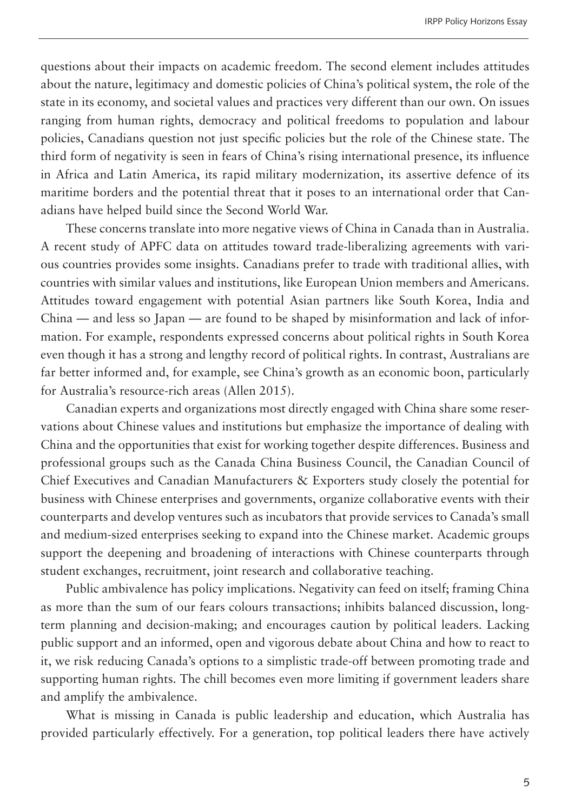questions about their impacts on academic freedom. The second element includes attitudes about the nature, legitimacy and domestic policies of China's political system, the role of the state in its economy, and societal values and practices very different than our own. On issues ranging from human rights, democracy and political freedoms to population and labour policies, Canadians question not just specific policies but the role of the Chinese state. The third form of negativity is seen in fears of China's rising international presence, its influence in Africa and Latin America, its rapid military modernization, its assertive defence of its maritime borders and the potential threat that it poses to an international order that Canadians have helped build since the Second World War.

These concerns translate into more negative views of China in Canada than in Australia. A recent study of APFC data on attitudes toward trade-liberalizing agreements with various countries provides some insights. Canadians prefer to trade with traditional allies, with countries with similar values and institutions, like European Union members and Americans. Attitudes toward engagement with potential Asian partners like South Korea, India and China — and less so Japan — are found to be shaped by misinformation and lack of information. For example, respondents expressed concerns about political rights in South Korea even though it has a strong and lengthy record of political rights. In contrast, Australians are far better informed and, for example, see China's growth as an economic boon, particularly for Australia's resource-rich areas (Allen 2015).

Canadian experts and organizations most directly engaged with China share some reservations about Chinese values and institutions but emphasize the importance of dealing with China and the opportunities that exist for working together despite differences. Business and professional groups such as the Canada China Business Council, the Canadian Council of Chief Executives and Canadian Manufacturers & Exporters study closely the potential for business with Chinese enterprises and governments, organize collaborative events with their counterparts and develop ventures such as incubators that provide services to Canada's small and medium-sized enterprises seeking to expand into the Chinese market. Academic groups support the deepening and broadening of interactions with Chinese counterparts through student exchanges, recruitment, joint research and collaborative teaching.

Public ambivalence has policy implications. Negativity can feed on itself; framing China as more than the sum of our fears colours transactions; inhibits balanced discussion, longterm planning and decision-making; and encourages caution by political leaders. Lacking public support and an informed, open and vigorous debate about China and how to react to it, we risk reducing Canada's options to a simplistic trade-off between promoting trade and supporting human rights. The chill becomes even more limiting if government leaders share and amplify the ambivalence.

What is missing in Canada is public leadership and education, which Australia has provided particularly effectively. For a generation, top political leaders there have actively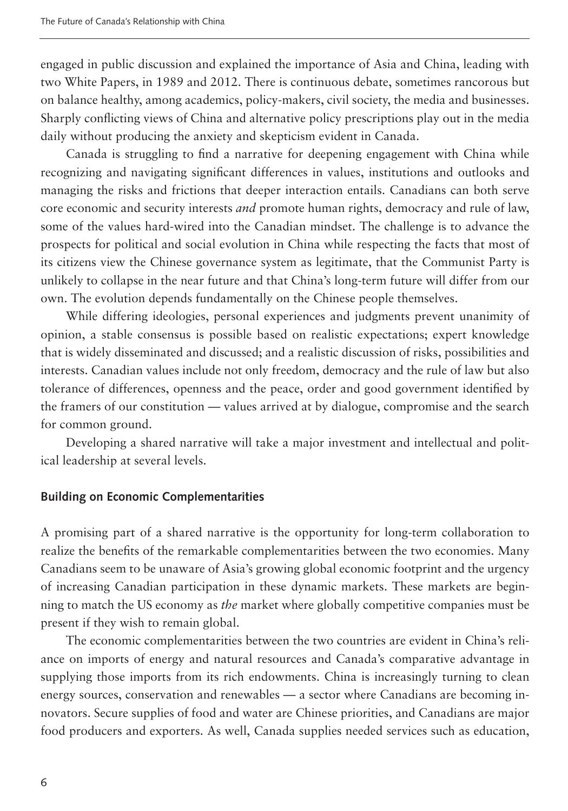engaged in public discussion and explained the importance of Asia and China, leading with two White Papers, in 1989 and 2012. There is continuous debate, sometimes rancorous but on balance healthy, among academics, policy-makers, civil society, the media and businesses. Sharply conflicting views of China and alternative policy prescriptions play out in the media daily without producing the anxiety and skepticism evident in Canada.

Canada is struggling to find a narrative for deepening engagement with China while recognizing and navigating significant differences in values, institutions and outlooks and managing the risks and frictions that deeper interaction entails. Canadians can both serve core economic and security interests *and* promote human rights, democracy and rule of law, some of the values hard-wired into the Canadian mindset. The challenge is to advance the prospects for political and social evolution in China while respecting the facts that most of its citizens view the Chinese governance system as legitimate, that the Communist Party is unlikely to collapse in the near future and that China's long-term future will differ from our own. The evolution depends fundamentally on the Chinese people themselves.

While differing ideologies, personal experiences and judgments prevent unanimity of opinion, a stable consensus is possible based on realistic expectations; expert knowledge that is widely disseminated and discussed; and a realistic discussion of risks, possibilities and interests. Canadian values include not only freedom, democracy and the rule of law but also tolerance of differences, openness and the peace, order and good government identified by the framers of our constitution — values arrived at by dialogue, compromise and the search for common ground.

Developing a shared narrative will take a major investment and intellectual and political leadership at several levels.

#### **Building on Economic Complementarities**

A promising part of a shared narrative is the opportunity for long-term collaboration to realize the benefits of the remarkable complementarities between the two economies. Many Canadians seem to be unaware of Asia's growing global economic footprint and the urgency of increasing Canadian participation in these dynamic markets. These markets are beginning to match the US economy as *the* market where globally competitive companies must be present if they wish to remain global.

The economic complementarities between the two countries are evident in China's reliance on imports of energy and natural resources and Canada's comparative advantage in supplying those imports from its rich endowments. China is increasingly turning to clean energy sources, conservation and renewables — a sector where Canadians are becoming innovators. Secure supplies of food and water are Chinese priorities, and Canadians are major food producers and exporters. As well, Canada supplies needed services such as education,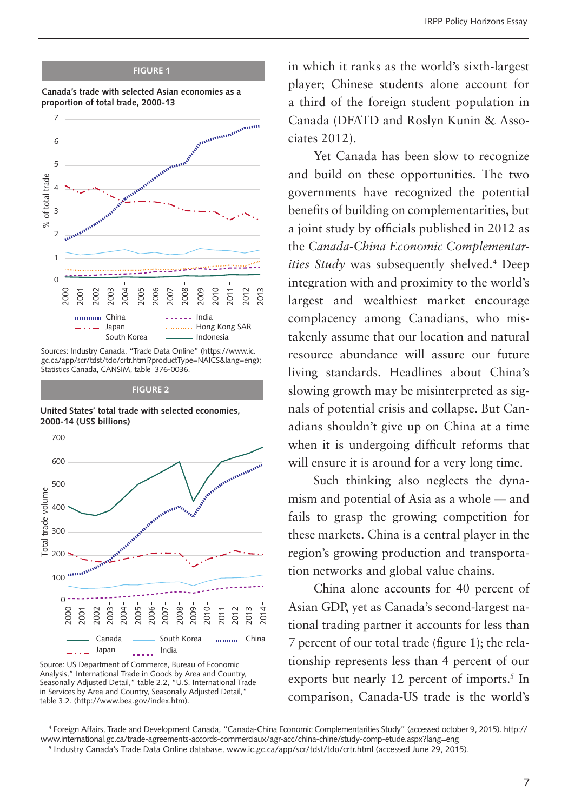#### **FIGURE 1**





Sources: Industry Canada, "Trade Data Online" (https://www.ic. gc.ca/app/scr/tdst/tdo/crtr.html?productType=NAICS&lang=eng); Statistics Canada, CANSIM, table 376-0036.

**FIGURE 2**

United States' total trade with selected economies, **2000-14 (US\$ billions)**



Source: US Department of Commerce, Bureau of Economic Analysis," International Trade in Goods by Area and Country, Seasonally Adjusted Detail," table 2.2, "U.S. International Trade in Services by Area and Country, Seasonally Adjusted Detail," table 3.2. (http://www.bea.gov/index.htm).

in which it ranks as the world's sixth-largest player; Chinese students alone account for a third of the foreign student population in Canada (DFATD and Roslyn Kunin & Associates 2012).

Yet Canada has been slow to recognize and build on these opportunities. The two governments have recognized the potential benefits of building on complementarities, but a joint study by officials published in 2012 as the *Canada-China Economic Complementarities Study* was subsequently shelved.4 Deep integration with and proximity to the world's largest and wealthiest market encourage complacency among Canadians, who mistakenly assume that our location and natural resource abundance will assure our future living standards. Headlines about China's slowing growth may be misinterpreted as signals of potential crisis and collapse. But Canadians shouldn't give up on China at a time when it is undergoing difficult reforms that will ensure it is around for a very long time.

Such thinking also neglects the dynamism and potential of Asia as a whole — and fails to grasp the growing competition for these markets. China is a central player in the region's growing production and transportation networks and global value chains.

China alone accounts for 40 percent of Asian GDP, yet as Canada's second-largest national trading partner it accounts for less than 7 percent of our total trade (figure 1); the relationship represents less than 4 percent of our exports but nearly 12 percent of imports.<sup>5</sup> In comparison, Canada-US trade is the world's

<sup>4</sup> Foreign Affairs, Trade and Development Canada, "Canada-China Economic Complementarities Study" (accessed october 9, 2015). http:// www.international.gc.ca/trade-agreements-accords-commerciaux/agr-acc/china-chine/study-comp-etude.aspx?lang=eng

<sup>5</sup> Industry Canada's Trade Data Online database, www.ic.gc.ca/app/scr/tdst/tdo/crtr.html (accessed June 29, 2015).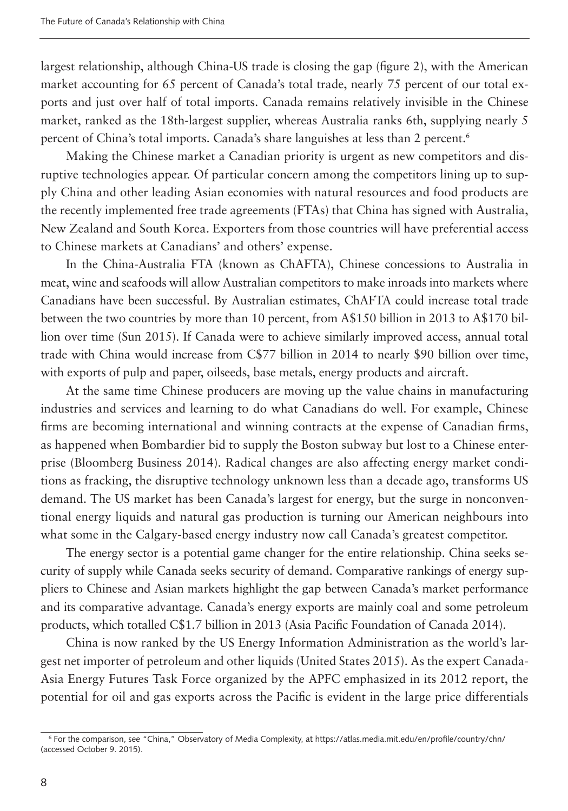largest relationship, although China-US trade is closing the gap (figure 2), with the American market accounting for 65 percent of Canada's total trade, nearly 75 percent of our total exports and just over half of total imports. Canada remains relatively invisible in the Chinese market, ranked as the 18th-largest supplier, whereas Australia ranks 6th, supplying nearly 5 percent of China's total imports. Canada's share languishes at less than 2 percent.<sup>6</sup>

Making the Chinese market a Canadian priority is urgent as new competitors and disruptive technologies appear. Of particular concern among the competitors lining up to supply China and other leading Asian economies with natural resources and food products are the recently implemented free trade agreements (FTAs) that China has signed with Australia, New Zealand and South Korea. Exporters from those countries will have preferential access to Chinese markets at Canadians' and others' expense.

In the China-Australia FTA (known as ChAFTA), Chinese concessions to Australia in meat, wine and seafoods will allow Australian competitors to make inroads into markets where Canadians have been successful. By Australian estimates, ChAFTA could increase total trade between the two countries by more than 10 percent, from A\$150 billion in 2013 to A\$170 billion over time (Sun 2015). If Canada were to achieve similarly improved access, annual total trade with China would increase from C\$77 billion in 2014 to nearly \$90 billion over time, with exports of pulp and paper, oilseeds, base metals, energy products and aircraft.

At the same time Chinese producers are moving up the value chains in manufacturing industries and services and learning to do what Canadians do well. For example, Chinese firms are becoming international and winning contracts at the expense of Canadian firms, as happened when Bombardier bid to supply the Boston subway but lost to a Chinese enterprise (Bloomberg Business 2014). Radical changes are also affecting energy market conditions as fracking, the disruptive technology unknown less than a decade ago, transforms US demand. The US market has been Canada's largest for energy, but the surge in nonconventional energy liquids and natural gas production is turning our American neighbours into what some in the Calgary-based energy industry now call Canada's greatest competitor.

The energy sector is a potential game changer for the entire relationship. China seeks security of supply while Canada seeks security of demand. Comparative rankings of energy suppliers to Chinese and Asian markets highlight the gap between Canada's market performance and its comparative advantage. Canada's energy exports are mainly coal and some petroleum products, which totalled C\$1.7 billion in 2013 (Asia Pacific Foundation of Canada 2014).

China is now ranked by the US Energy Information Administration as the world's largest net importer of petroleum and other liquids (United States 2015). As the expert Canada-Asia Energy Futures Task Force organized by the APFC emphasized in its 2012 report, the potential for oil and gas exports across the Pacific is evident in the large price differentials

<sup>6</sup> For the comparison, see "China," Observatory of Media Complexity, at https://atlas.media.mit.edu/en/profile/country/chn/ (accessed October 9. 2015).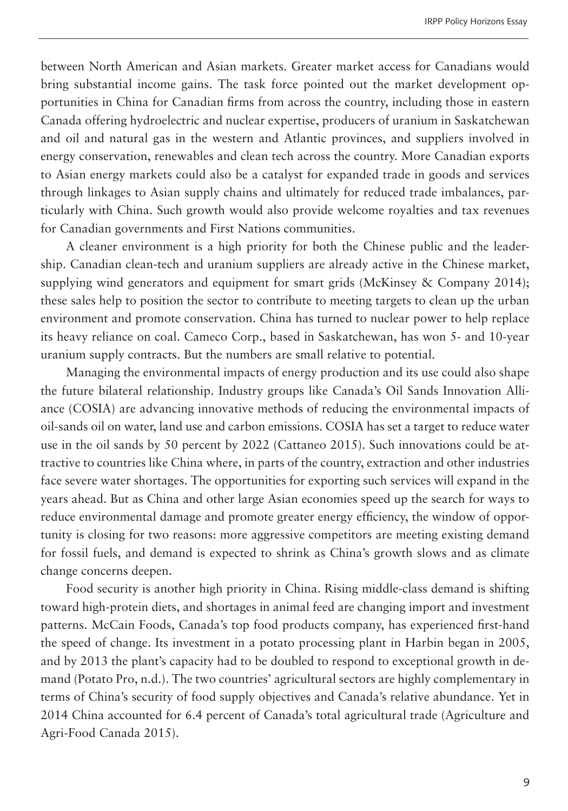between North American and Asian markets. Greater market access for Canadians would bring substantial income gains. The task force pointed out the market development opportunities in China for Canadian firms from across the country, including those in eastern Canada offering hydroelectric and nuclear expertise, producers of uranium in Saskatchewan and oil and natural gas in the western and Atlantic provinces, and suppliers involved in energy conservation, renewables and clean tech across the country. More Canadian exports to Asian energy markets could also be a catalyst for expanded trade in goods and services through linkages to Asian supply chains and ultimately for reduced trade imbalances, particularly with China. Such growth would also provide welcome royalties and tax revenues for Canadian governments and First Nations communities.

A cleaner environment is a high priority for both the Chinese public and the leadership. Canadian clean-tech and uranium suppliers are already active in the Chinese market, supplying wind generators and equipment for smart grids (McKinsey & Company 2014); these sales help to position the sector to contribute to meeting targets to clean up the urban environment and promote conservation. China has turned to nuclear power to help replace its heavy reliance on coal. Cameco Corp., based in Saskatchewan, has won 5- and 10-year uranium supply contracts. But the numbers are small relative to potential.

Managing the environmental impacts of energy production and its use could also shape the future bilateral relationship. Industry groups like Canada's Oil Sands Innovation Alliance (COSIA) are advancing innovative methods of reducing the environmental impacts of oil-sands oil on water, land use and carbon emissions. COSIA has set a target to reduce water use in the oil sands by 50 percent by 2022 (Cattaneo 2015). Such innovations could be attractive to countries like China where, in parts of the country, extraction and other industries face severe water shortages. The opportunities for exporting such services will expand in the years ahead. But as China and other large Asian economies speed up the search for ways to reduce environmental damage and promote greater energy efficiency, the window of opportunity is closing for two reasons: more aggressive competitors are meeting existing demand for fossil fuels, and demand is expected to shrink as China's growth slows and as climate change concerns deepen.

Food security is another high priority in China. Rising middle-class demand is shifting toward high-protein diets, and shortages in animal feed are changing import and investment patterns. McCain Foods, Canada's top food products company, has experienced first-hand the speed of change. Its investment in a potato processing plant in Harbin began in 2005, and by 2013 the plant's capacity had to be doubled to respond to exceptional growth in demand (Potato Pro, n.d.). The two countries' agricultural sectors are highly complementary in terms of China's security of food supply objectives and Canada's relative abundance. Yet in 2014 China accounted for 6.4 percent of Canada's total agricultural trade (Agriculture and Agri-Food Canada 2015).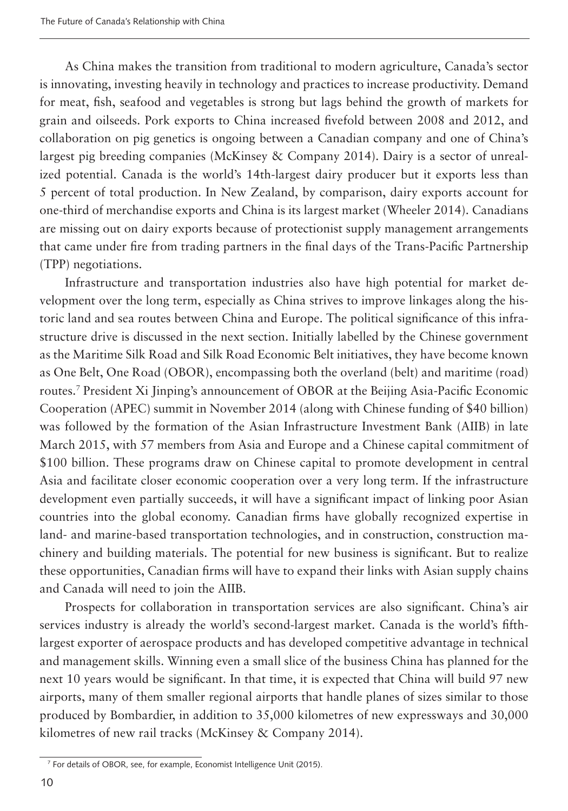As China makes the transition from traditional to modern agriculture, Canada's sector is innovating, investing heavily in technology and practices to increase productivity. Demand for meat, fish, seafood and vegetables is strong but lags behind the growth of markets for grain and oilseeds. Pork exports to China increased fivefold between 2008 and 2012, and collaboration on pig genetics is ongoing between a Canadian company and one of China's largest pig breeding companies (McKinsey & Company 2014). Dairy is a sector of unrealized potential. Canada is the world's 14th-largest dairy producer but it exports less than 5 percent of total production. In New Zealand, by comparison, dairy exports account for one-third of merchandise exports and China is its largest market (Wheeler 2014). Canadians are missing out on dairy exports because of protectionist supply management arrangements that came under fire from trading partners in the final days of the Trans-Pacific Partnership (TPP) negotiations.

Infrastructure and transportation industries also have high potential for market development over the long term, especially as China strives to improve linkages along the historic land and sea routes between China and Europe. The political significance of this infrastructure drive is discussed in the next section. Initially labelled by the Chinese government as the Maritime Silk Road and Silk Road Economic Belt initiatives, they have become known as One Belt, One Road (OBOR), encompassing both the overland (belt) and maritime (road) routes.7 President Xi Jinping's announcement of OBOR at the Beijing Asia-Pacific Economic Cooperation (APEC) summit in November 2014 (along with Chinese funding of \$40 billion) was followed by the formation of the Asian Infrastructure Investment Bank (AIIB) in late March 2015, with 57 members from Asia and Europe and a Chinese capital commitment of \$100 billion. These programs draw on Chinese capital to promote development in central Asia and facilitate closer economic cooperation over a very long term. If the infrastructure development even partially succeeds, it will have a significant impact of linking poor Asian countries into the global economy. Canadian firms have globally recognized expertise in land- and marine-based transportation technologies, and in construction, construction machinery and building materials. The potential for new business is significant. But to realize these opportunities, Canadian firms will have to expand their links with Asian supply chains and Canada will need to join the AIIB.

Prospects for collaboration in transportation services are also significant. China's air services industry is already the world's second-largest market. Canada is the world's fifthlargest exporter of aerospace products and has developed competitive advantage in technical and management skills. Winning even a small slice of the business China has planned for the next 10 years would be significant. In that time, it is expected that China will build 97 new airports, many of them smaller regional airports that handle planes of sizes similar to those produced by Bombardier, in addition to 35,000 kilometres of new expressways and 30,000 kilometres of new rail tracks (McKinsey & Company 2014).

<sup>7</sup> For details of OBOR, see, for example, Economist Intelligence Unit (2015).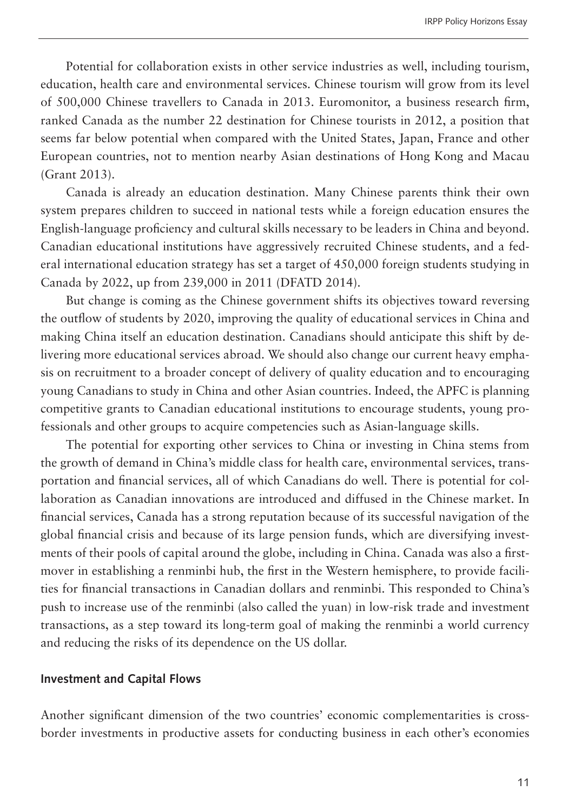Potential for collaboration exists in other service industries as well, including tourism, education, health care and environmental services. Chinese tourism will grow from its level of 500,000 Chinese travellers to Canada in 2013. Euromonitor, a business research firm, ranked Canada as the number 22 destination for Chinese tourists in 2012, a position that seems far below potential when compared with the United States, Japan, France and other European countries, not to mention nearby Asian destinations of Hong Kong and Macau (Grant 2013).

Canada is already an education destination. Many Chinese parents think their own system prepares children to succeed in national tests while a foreign education ensures the English-language proficiency and cultural skills necessary to be leaders in China and beyond. Canadian educational institutions have aggressively recruited Chinese students, and a federal international education strategy has set a target of 450,000 foreign students studying in Canada by 2022, up from 239,000 in 2011 (DFATD 2014).

But change is coming as the Chinese government shifts its objectives toward reversing the outflow of students by 2020, improving the quality of educational services in China and making China itself an education destination. Canadians should anticipate this shift by delivering more educational services abroad. We should also change our current heavy emphasis on recruitment to a broader concept of delivery of quality education and to encouraging young Canadians to study in China and other Asian countries. Indeed, the APFC is planning competitive grants to Canadian educational institutions to encourage students, young professionals and other groups to acquire competencies such as Asian-language skills.

The potential for exporting other services to China or investing in China stems from the growth of demand in China's middle class for health care, environmental services, transportation and financial services, all of which Canadians do well. There is potential for collaboration as Canadian innovations are introduced and diffused in the Chinese market. In financial services, Canada has a strong reputation because of its successful navigation of the global financial crisis and because of its large pension funds, which are diversifying investments of their pools of capital around the globe, including in China. Canada was also a firstmover in establishing a renminbi hub, the first in the Western hemisphere, to provide facilities for financial transactions in Canadian dollars and renminbi. This responded to China's push to increase use of the renminbi (also called the yuan) in low-risk trade and investment transactions, as a step toward its long-term goal of making the renminbi a world currency and reducing the risks of its dependence on the US dollar.

#### **Investment and Capital Flows**

Another significant dimension of the two countries' economic complementarities is crossborder investments in productive assets for conducting business in each other's economies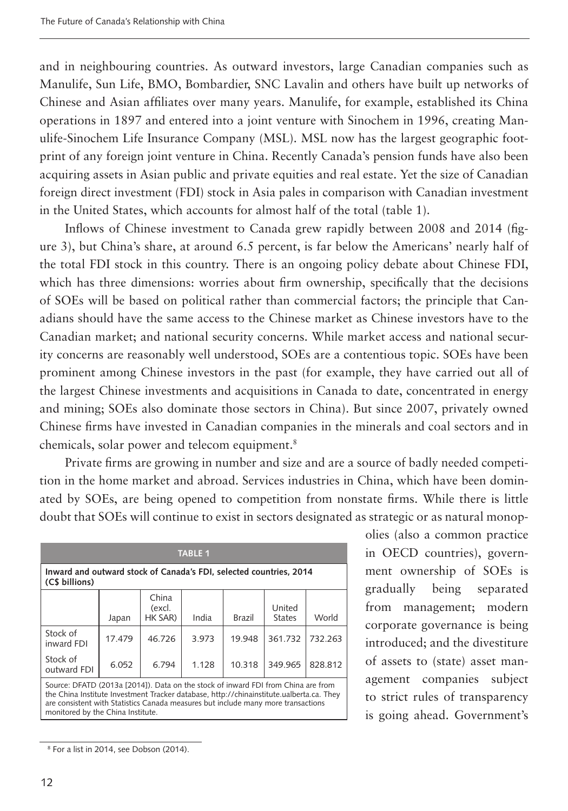and in neighbouring countries. As outward investors, large Canadian companies such as Manulife, Sun Life, BMO, Bombardier, SNC Lavalin and others have built up networks of Chinese and Asian affiliates over many years. Manulife, for example, established its China operations in 1897 and entered into a joint venture with Sinochem in 1996, creating Manulife-Sinochem Life Insurance Company (MSL). MSL now has the largest geographic footprint of any foreign joint venture in China. Recently Canada's pension funds have also been acquiring assets in Asian public and private equities and real estate. Yet the size of Canadian foreign direct investment (FDI) stock in Asia pales in comparison with Canadian investment in the United States, which accounts for almost half of the total (table 1).

Inflows of Chinese investment to Canada grew rapidly between 2008 and 2014 (figure 3), but China's share, at around 6.5 percent, is far below the Americans' nearly half of the total FDI stock in this country. There is an ongoing policy debate about Chinese FDI, which has three dimensions: worries about firm ownership, specifically that the decisions of SOEs will be based on political rather than commercial factors; the principle that Canadians should have the same access to the Chinese market as Chinese investors have to the Canadian market; and national security concerns. While market access and national security concerns are reasonably well understood, SOEs are a contentious topic. SOEs have been prominent among Chinese investors in the past (for example, they have carried out all of the largest Chinese investments and acquisitions in Canada to date, concentrated in energy and mining; SOEs also dominate those sectors in China). But since 2007, privately owned Chinese firms have invested in Canadian companies in the minerals and coal sectors and in chemicals, solar power and telecom equipment.8

Private firms are growing in number and size and are a source of badly needed competition in the home market and abroad. Services industries in China, which have been dominated by SOEs, are being opened to competition from nonstate firms. While there is little doubt that SOEs will continue to exist in sectors designated as strategic or as natural monop-

| <b>TABLE 1</b>                                                                                                                                                                                                                                                     |        |                            |       |               |                         |         |
|--------------------------------------------------------------------------------------------------------------------------------------------------------------------------------------------------------------------------------------------------------------------|--------|----------------------------|-------|---------------|-------------------------|---------|
| Inward and outward stock of Canada's FDI, selected countries, 2014<br>(C\$ billions)                                                                                                                                                                               |        |                            |       |               |                         |         |
|                                                                                                                                                                                                                                                                    | Japan  | China<br>(excl.<br>HK SAR) | India | <b>Brazil</b> | United<br><b>States</b> | World   |
| Stock of<br>inward FDI                                                                                                                                                                                                                                             | 17.479 | 46726                      | 3.973 | 19.948        | 361.732                 | 732.263 |
| Stock of<br>outward FDI                                                                                                                                                                                                                                            | 6.052  | 6.794                      | 1.128 | 10.318        | 349.965                 | 828.812 |
| Source: DFATD (2013a [2014]). Data on the stock of inward FDI from China are from<br>the China Institute Investment Tracker database, http://chinainstitute.ualberta.ca. They<br>are consistent with Statistics Canada measures but include many more transactions |        |                            |       |               |                         |         |

olies (also a common practice in OECD countries), government ownership of SOEs is gradually being separated from management; modern corporate governance is being introduced; and the divestiture of assets to (state) asset management companies subject to strict rules of transparency is going ahead. Government's

monitored by the China Institute.

<sup>8</sup> For a list in 2014, see Dobson (2014).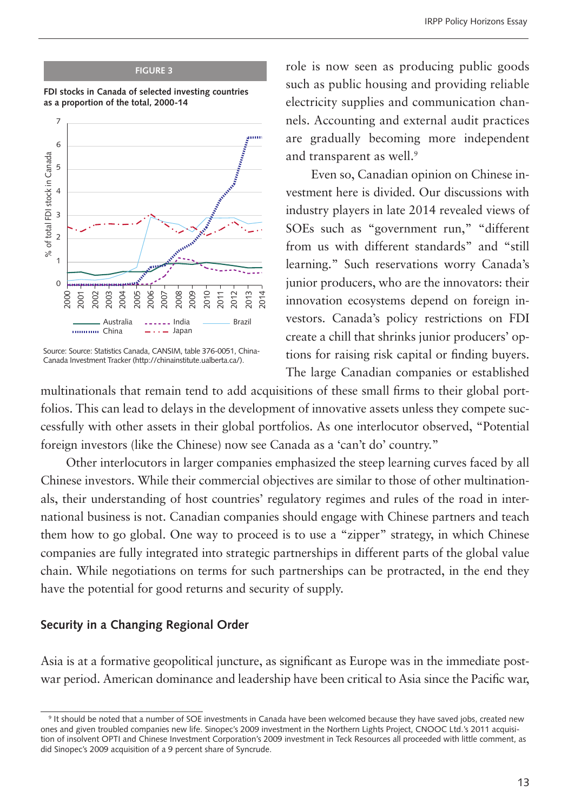#### **FIGURE 3**





Source: Source: Statistics Canada, CANSIM, table 376-0051, China-Canada Investment Tracker (http://chinainstitute.ualberta.ca/).

role is now seen as producing public goods such as public housing and providing reliable electricity supplies and communication channels. Accounting and external audit practices are gradually becoming more independent and transparent as well.<sup>9</sup>

Even so, Canadian opinion on Chinese investment here is divided. Our discussions with industry players in late 2014 revealed views of SOEs such as "government run," "different from us with different standards" and "still learning." Such reservations worry Canada's junior producers, who are the innovators: their innovation ecosystems depend on foreign investors. Canada's policy restrictions on FDI create a chill that shrinks junior producers' options for raising risk capital or finding buyers. The large Canadian companies or established

multinationals that remain tend to add acquisitions of these small firms to their global portfolios. This can lead to delays in the development of innovative assets unless they compete successfully with other assets in their global portfolios. As one interlocutor observed, "Potential foreign investors (like the Chinese) now see Canada as a 'can't do' country."

Other interlocutors in larger companies emphasized the steep learning curves faced by all Chinese investors. While their commercial objectives are similar to those of other multinationals, their understanding of host countries' regulatory regimes and rules of the road in international business is not. Canadian companies should engage with Chinese partners and teach them how to go global. One way to proceed is to use a "zipper" strategy, in which Chinese companies are fully integrated into strategic partnerships in different parts of the global value chain. While negotiations on terms for such partnerships can be protracted, in the end they have the potential for good returns and security of supply.

#### **Security in a Changing Regional Order**

Asia is at a formative geopolitical juncture, as significant as Europe was in the immediate postwar period. American dominance and leadership have been critical to Asia since the Pacific war,

<sup>9</sup> It should be noted that a number of SOE investments in Canada have been welcomed because they have saved jobs, created new ones and given troubled companies new life. Sinopec's 2009 investment in the Northern Lights Project, CNOOC Ltd.'s 2011 acquisition of insolvent OPTI and Chinese Investment Corporation's 2009 investment in Teck Resources all proceeded with little comment, as did Sinopec's 2009 acquisition of a 9 percent share of Syncrude.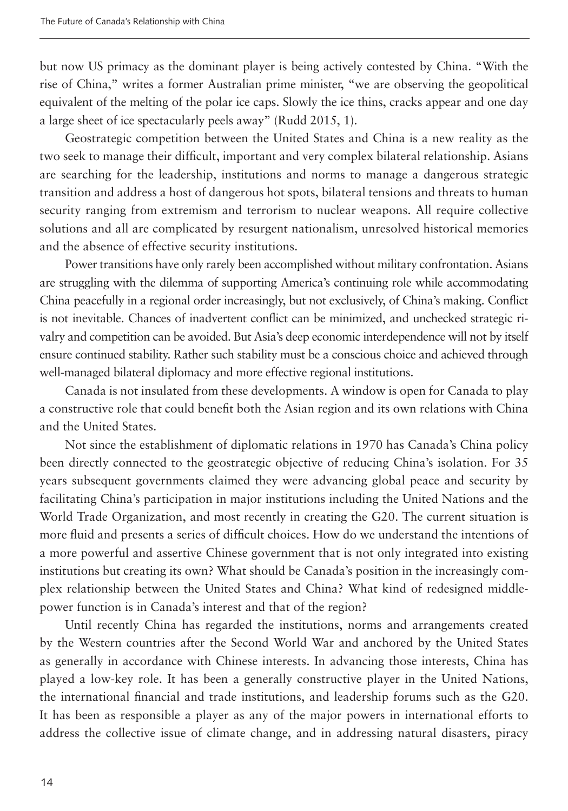but now US primacy as the dominant player is being actively contested by China. "With the rise of China," writes a former Australian prime minister, "we are observing the geopolitical equivalent of the melting of the polar ice caps. Slowly the ice thins, cracks appear and one day a large sheet of ice spectacularly peels away" (Rudd 2015, 1).

Geostrategic competition between the United States and China is a new reality as the two seek to manage their difficult, important and very complex bilateral relationship. Asians are searching for the leadership, institutions and norms to manage a dangerous strategic transition and address a host of dangerous hot spots, bilateral tensions and threats to human security ranging from extremism and terrorism to nuclear weapons. All require collective solutions and all are complicated by resurgent nationalism, unresolved historical memories and the absence of effective security institutions.

Power transitions have only rarely been accomplished without military confrontation. Asians are struggling with the dilemma of supporting America's continuing role while accommodating China peacefully in a regional order increasingly, but not exclusively, of China's making. Conflict is not inevitable. Chances of inadvertent conflict can be minimized, and unchecked strategic rivalry and competition can be avoided. But Asia's deep economic interdependence will not by itself ensure continued stability. Rather such stability must be a conscious choice and achieved through well-managed bilateral diplomacy and more effective regional institutions.

Canada is not insulated from these developments. A window is open for Canada to play a constructive role that could benefit both the Asian region and its own relations with China and the United States.

Not since the establishment of diplomatic relations in 1970 has Canada's China policy been directly connected to the geostrategic objective of reducing China's isolation. For 35 years subsequent governments claimed they were advancing global peace and security by facilitating China's participation in major institutions including the United Nations and the World Trade Organization, and most recently in creating the G20. The current situation is more fluid and presents a series of difficult choices. How do we understand the intentions of a more powerful and assertive Chinese government that is not only integrated into existing institutions but creating its own? What should be Canada's position in the increasingly complex relationship between the United States and China? What kind of redesigned middlepower function is in Canada's interest and that of the region?

Until recently China has regarded the institutions, norms and arrangements created by the Western countries after the Second World War and anchored by the United States as generally in accordance with Chinese interests. In advancing those interests, China has played a low-key role. It has been a generally constructive player in the United Nations, the international financial and trade institutions, and leadership forums such as the G20. It has been as responsible a player as any of the major powers in international efforts to address the collective issue of climate change, and in addressing natural disasters, piracy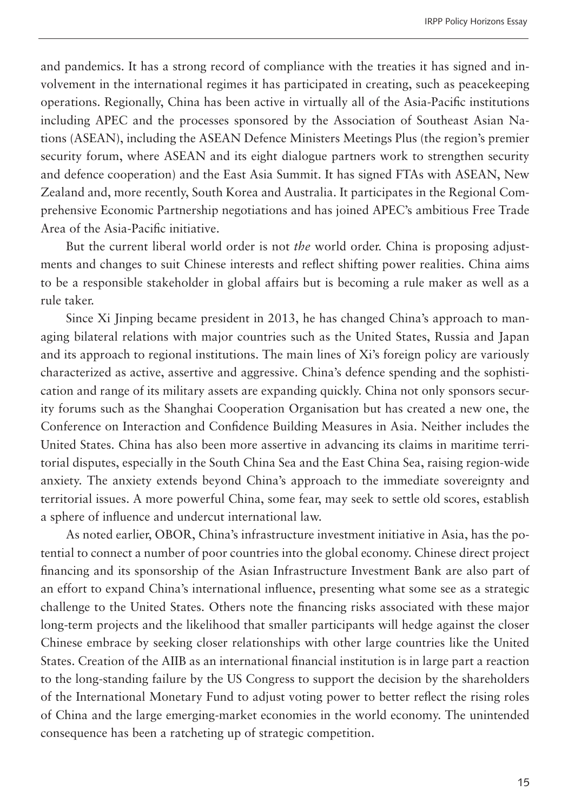and pandemics. It has a strong record of compliance with the treaties it has signed and involvement in the international regimes it has participated in creating, such as peacekeeping operations. Regionally, China has been active in virtually all of the Asia-Pacific institutions including APEC and the processes sponsored by the Association of Southeast Asian Nations (ASEAN), including the ASEAN Defence Ministers Meetings Plus (the region's premier security forum, where ASEAN and its eight dialogue partners work to strengthen security and defence cooperation) and the East Asia Summit. It has signed FTAs with ASEAN, New Zealand and, more recently, South Korea and Australia. It participates in the Regional Comprehensive Economic Partnership negotiations and has joined APEC's ambitious Free Trade Area of the Asia-Pacific initiative.

But the current liberal world order is not *the* world order. China is proposing adjustments and changes to suit Chinese interests and reflect shifting power realities. China aims to be a responsible stakeholder in global affairs but is becoming a rule maker as well as a rule taker.

Since Xi Jinping became president in 2013, he has changed China's approach to managing bilateral relations with major countries such as the United States, Russia and Japan and its approach to regional institutions. The main lines of Xi's foreign policy are variously characterized as active, assertive and aggressive. China's defence spending and the sophistication and range of its military assets are expanding quickly. China not only sponsors security forums such as the Shanghai Cooperation Organisation but has created a new one, the Conference on Interaction and Confidence Building Measures in Asia. Neither includes the United States. China has also been more assertive in advancing its claims in maritime territorial disputes, especially in the South China Sea and the East China Sea, raising region-wide anxiety. The anxiety extends beyond China's approach to the immediate sovereignty and territorial issues. A more powerful China, some fear, may seek to settle old scores, establish a sphere of influence and undercut international law.

As noted earlier, OBOR, China's infrastructure investment initiative in Asia, has the potential to connect a number of poor countries into the global economy. Chinese direct project financing and its sponsorship of the Asian Infrastructure Investment Bank are also part of an effort to expand China's international influence, presenting what some see as a strategic challenge to the United States. Others note the financing risks associated with these major long-term projects and the likelihood that smaller participants will hedge against the closer Chinese embrace by seeking closer relationships with other large countries like the United States. Creation of the AIIB as an international financial institution is in large part a reaction to the long-standing failure by the US Congress to support the decision by the shareholders of the International Monetary Fund to adjust voting power to better reflect the rising roles of China and the large emerging-market economies in the world economy. The unintended consequence has been a ratcheting up of strategic competition.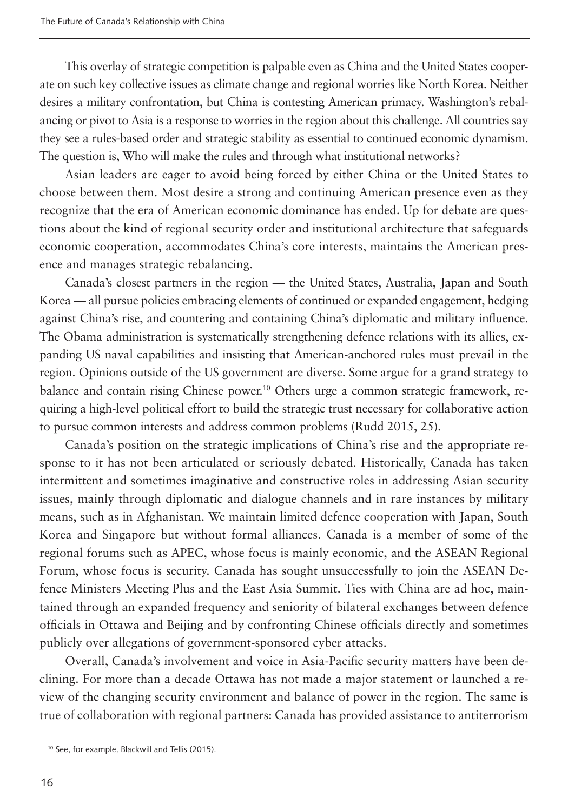This overlay of strategic competition is palpable even as China and the United States cooperate on such key collective issues as climate change and regional worries like North Korea. Neither desires a military confrontation, but China is contesting American primacy. Washington's rebalancing or pivot to Asia is a response to worries in the region about this challenge. All countries say they see a rules-based order and strategic stability as essential to continued economic dynamism. The question is, Who will make the rules and through what institutional networks?

Asian leaders are eager to avoid being forced by either China or the United States to choose between them. Most desire a strong and continuing American presence even as they recognize that the era of American economic dominance has ended. Up for debate are questions about the kind of regional security order and institutional architecture that safeguards economic cooperation, accommodates China's core interests, maintains the American presence and manages strategic rebalancing.

Canada's closest partners in the region — the United States, Australia, Japan and South Korea — all pursue policies embracing elements of continued or expanded engagement, hedging against China's rise, and countering and containing China's diplomatic and military influence. The Obama administration is systematically strengthening defence relations with its allies, expanding US naval capabilities and insisting that American-anchored rules must prevail in the region. Opinions outside of the US government are diverse. Some argue for a grand strategy to balance and contain rising Chinese power.<sup>10</sup> Others urge a common strategic framework, requiring a high-level political effort to build the strategic trust necessary for collaborative action to pursue common interests and address common problems (Rudd 2015, 25).

Canada's position on the strategic implications of China's rise and the appropriate response to it has not been articulated or seriously debated. Historically, Canada has taken intermittent and sometimes imaginative and constructive roles in addressing Asian security issues, mainly through diplomatic and dialogue channels and in rare instances by military means, such as in Afghanistan. We maintain limited defence cooperation with Japan, South Korea and Singapore but without formal alliances. Canada is a member of some of the regional forums such as APEC, whose focus is mainly economic, and the ASEAN Regional Forum, whose focus is security. Canada has sought unsuccessfully to join the ASEAN Defence Ministers Meeting Plus and the East Asia Summit. Ties with China are ad hoc, maintained through an expanded frequency and seniority of bilateral exchanges between defence officials in Ottawa and Beijing and by confronting Chinese officials directly and sometimes publicly over allegations of government-sponsored cyber attacks.

Overall, Canada's involvement and voice in Asia-Pacific security matters have been declining. For more than a decade Ottawa has not made a major statement or launched a review of the changing security environment and balance of power in the region. The same is true of collaboration with regional partners: Canada has provided assistance to antiterrorism

<sup>10</sup> See, for example, Blackwill and Tellis (2015).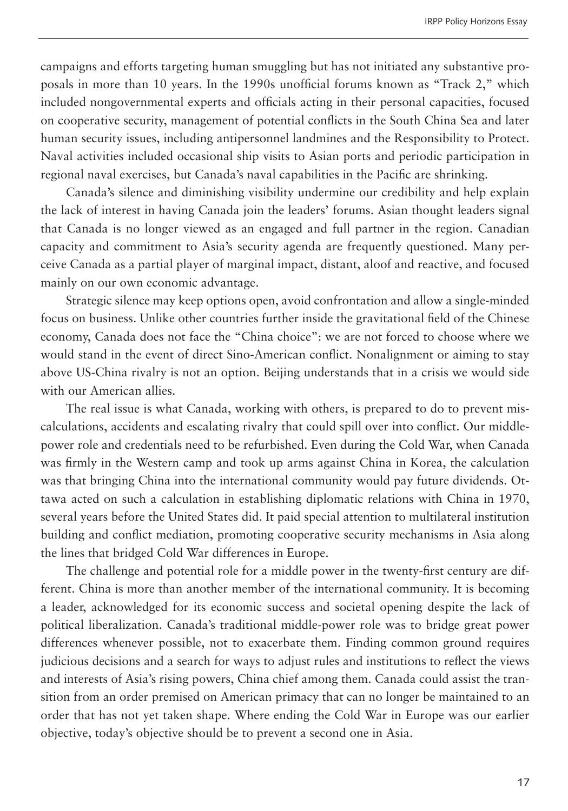campaigns and efforts targeting human smuggling but has not initiated any substantive proposals in more than 10 years. In the 1990s unofficial forums known as "Track 2," which included nongovernmental experts and officials acting in their personal capacities, focused on cooperative security, management of potential conflicts in the South China Sea and later human security issues, including antipersonnel landmines and the Responsibility to Protect. Naval activities included occasional ship visits to Asian ports and periodic participation in regional naval exercises, but Canada's naval capabilities in the Pacific are shrinking.

Canada's silence and diminishing visibility undermine our credibility and help explain the lack of interest in having Canada join the leaders' forums. Asian thought leaders signal that Canada is no longer viewed as an engaged and full partner in the region. Canadian capacity and commitment to Asia's security agenda are frequently questioned. Many perceive Canada as a partial player of marginal impact, distant, aloof and reactive, and focused mainly on our own economic advantage.

Strategic silence may keep options open, avoid confrontation and allow a single-minded focus on business. Unlike other countries further inside the gravitational field of the Chinese economy, Canada does not face the "China choice": we are not forced to choose where we would stand in the event of direct Sino-American conflict. Nonalignment or aiming to stay above US-China rivalry is not an option. Beijing understands that in a crisis we would side with our American allies.

The real issue is what Canada, working with others, is prepared to do to prevent miscalculations, accidents and escalating rivalry that could spill over into conflict. Our middlepower role and credentials need to be refurbished. Even during the Cold War, when Canada was firmly in the Western camp and took up arms against China in Korea, the calculation was that bringing China into the international community would pay future dividends. Ottawa acted on such a calculation in establishing diplomatic relations with China in 1970, several years before the United States did. It paid special attention to multilateral institution building and conflict mediation, promoting cooperative security mechanisms in Asia along the lines that bridged Cold War differences in Europe.

The challenge and potential role for a middle power in the twenty-first century are different. China is more than another member of the international community. It is becoming a leader, acknowledged for its economic success and societal opening despite the lack of political liberalization. Canada's traditional middle-power role was to bridge great power differences whenever possible, not to exacerbate them. Finding common ground requires judicious decisions and a search for ways to adjust rules and institutions to reflect the views and interests of Asia's rising powers, China chief among them. Canada could assist the transition from an order premised on American primacy that can no longer be maintained to an order that has not yet taken shape. Where ending the Cold War in Europe was our earlier objective, today's objective should be to prevent a second one in Asia.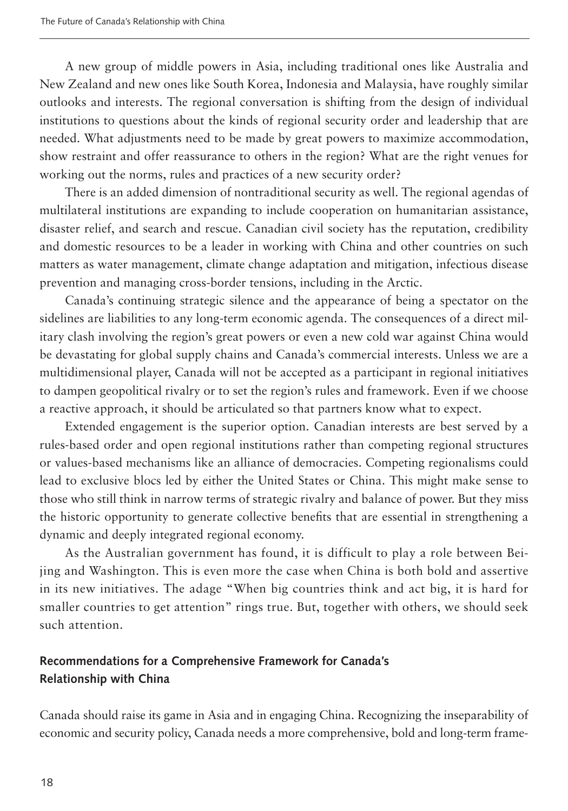A new group of middle powers in Asia, including traditional ones like Australia and New Zealand and new ones like South Korea, Indonesia and Malaysia, have roughly similar outlooks and interests. The regional conversation is shifting from the design of individual institutions to questions about the kinds of regional security order and leadership that are needed. What adjustments need to be made by great powers to maximize accommodation, show restraint and offer reassurance to others in the region? What are the right venues for working out the norms, rules and practices of a new security order?

There is an added dimension of nontraditional security as well. The regional agendas of multilateral institutions are expanding to include cooperation on humanitarian assistance, disaster relief, and search and rescue. Canadian civil society has the reputation, credibility and domestic resources to be a leader in working with China and other countries on such matters as water management, climate change adaptation and mitigation, infectious disease prevention and managing cross-border tensions, including in the Arctic.

Canada's continuing strategic silence and the appearance of being a spectator on the sidelines are liabilities to any long-term economic agenda. The consequences of a direct military clash involving the region's great powers or even a new cold war against China would be devastating for global supply chains and Canada's commercial interests. Unless we are a multidimensional player, Canada will not be accepted as a participant in regional initiatives to dampen geopolitical rivalry or to set the region's rules and framework. Even if we choose a reactive approach, it should be articulated so that partners know what to expect.

Extended engagement is the superior option. Canadian interests are best served by a rules-based order and open regional institutions rather than competing regional structures or values-based mechanisms like an alliance of democracies. Competing regionalisms could lead to exclusive blocs led by either the United States or China. This might make sense to those who still think in narrow terms of strategic rivalry and balance of power. But they miss the historic opportunity to generate collective benefits that are essential in strengthening a dynamic and deeply integrated regional economy.

As the Australian government has found, it is difficult to play a role between Beijing and Washington. This is even more the case when China is both bold and assertive in its new initiatives. The adage "When big countries think and act big, it is hard for smaller countries to get attention" rings true. But, together with others, we should seek such attention.

# **Recommendations for a Comprehensive Framework for Canada's Relationship with China**

Canada should raise its game in Asia and in engaging China. Recognizing the inseparability of economic and security policy, Canada needs a more comprehensive, bold and long-term frame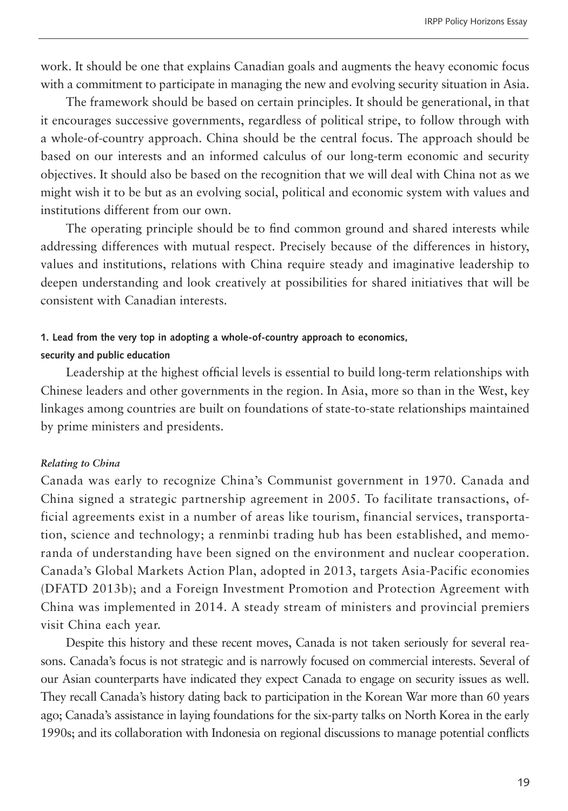work. It should be one that explains Canadian goals and augments the heavy economic focus with a commitment to participate in managing the new and evolving security situation in Asia.

The framework should be based on certain principles. It should be generational, in that it encourages successive governments, regardless of political stripe, to follow through with a whole-of-country approach. China should be the central focus. The approach should be based on our interests and an informed calculus of our long-term economic and security objectives. It should also be based on the recognition that we will deal with China not as we might wish it to be but as an evolving social, political and economic system with values and institutions different from our own.

The operating principle should be to find common ground and shared interests while addressing differences with mutual respect. Precisely because of the differences in history, values and institutions, relations with China require steady and imaginative leadership to deepen understanding and look creatively at possibilities for shared initiatives that will be consistent with Canadian interests.

#### **1. Lead from the very top in adopting a whole-of-country approach to economics,**

#### **security and public education**

Leadership at the highest official levels is essential to build long-term relationships with Chinese leaders and other governments in the region. In Asia, more so than in the West, key linkages among countries are built on foundations of state-to-state relationships maintained by prime ministers and presidents.

#### *Relating to China*

Canada was early to recognize China's Communist government in 1970. Canada and China signed a strategic partnership agreement in 2005. To facilitate transactions, official agreements exist in a number of areas like tourism, financial services, transportation, science and technology; a renminbi trading hub has been established, and memoranda of understanding have been signed on the environment and nuclear cooperation. Canada's Global Markets Action Plan, adopted in 2013, targets Asia-Pacific economies (DFATD 2013b); and a Foreign Investment Promotion and Protection Agreement with China was implemented in 2014. A steady stream of ministers and provincial premiers visit China each year.

Despite this history and these recent moves, Canada is not taken seriously for several reasons. Canada's focus is not strategic and is narrowly focused on commercial interests. Several of our Asian counterparts have indicated they expect Canada to engage on security issues as well. They recall Canada's history dating back to participation in the Korean War more than 60 years ago; Canada's assistance in laying foundations for the six-party talks on North Korea in the early 1990s; and its collaboration with Indonesia on regional discussions to manage potential conflicts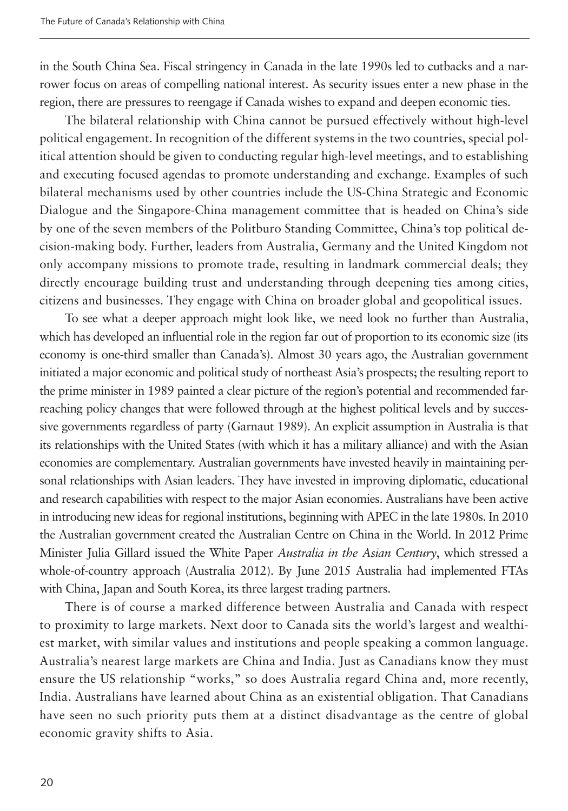in the South China Sea. Fiscal stringency in Canada in the late 1990s led to cutbacks and a narrower focus on areas of compelling national interest. As security issues enter a new phase in the region, there are pressures to reengage if Canada wishes to expand and deepen economic ties.

The bilateral relationship with China cannot be pursued effectively without high-level political engagement. In recognition of the different systems in the two countries, special political attention should be given to conducting regular high-level meetings, and to establishing and executing focused agendas to promote understanding and exchange. Examples of such bilateral mechanisms used by other countries include the US-China Strategic and Economic Dialogue and the Singapore-China management committee that is headed on China's side by one of the seven members of the Politburo Standing Committee, China's top political decision-making body. Further, leaders from Australia, Germany and the United Kingdom not only accompany missions to promote trade, resulting in landmark commercial deals; they directly encourage building trust and understanding through deepening ties among cities, citizens and businesses. They engage with China on broader global and geopolitical issues.

To see what a deeper approach might look like, we need look no further than Australia, which has developed an influential role in the region far out of proportion to its economic size (its economy is one-third smaller than Canada's). Almost 30 years ago, the Australian government initiated a major economic and political study of northeast Asia's prospects; the resulting report to the prime minister in 1989 painted a clear picture of the region's potential and recommended farreaching policy changes that were followed through at the highest political levels and by successive governments regardless of party (Garnaut 1989). An explicit assumption in Australia is that its relationships with the United States (with which it has a military alliance) and with the Asian economies are complementary. Australian governments have invested heavily in maintaining personal relationships with Asian leaders. They have invested in improving diplomatic, educational and research capabilities with respect to the major Asian economies. Australians have been active in introducing new ideas for regional institutions, beginning with APEC in the late 1980s. In 2010 the Australian government created the Australian Centre on China in the World. In 2012 Prime Minister Julia Gillard issued the White Paper *Australia in the Asian Century*, which stressed a whole-of-country approach (Australia 2012). By June 2015 Australia had implemented FTAs with China, Japan and South Korea, its three largest trading partners.

There is of course a marked difference between Australia and Canada with respect to proximity to large markets. Next door to Canada sits the world's largest and wealthiest market, with similar values and institutions and people speaking a common language. Australia's nearest large markets are China and India. Just as Canadians know they must ensure the US relationship "works," so does Australia regard China and, more recently, India. Australians have learned about China as an existential obligation. That Canadians have seen no such priority puts them at a distinct disadvantage as the centre of global economic gravity shifts to Asia.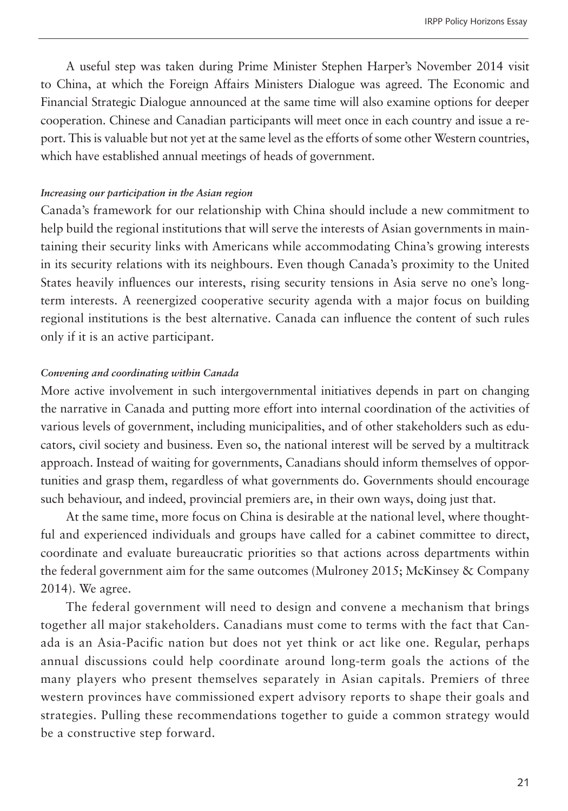A useful step was taken during Prime Minister Stephen Harper's November 2014 visit to China, at which the Foreign Affairs Ministers Dialogue was agreed. The Economic and Financial Strategic Dialogue announced at the same time will also examine options for deeper cooperation. Chinese and Canadian participants will meet once in each country and issue a report. This is valuable but not yet at the same level as the efforts of some other Western countries, which have established annual meetings of heads of government.

#### *Increasing our participation in the Asian region*

Canada's framework for our relationship with China should include a new commitment to help build the regional institutions that will serve the interests of Asian governments in maintaining their security links with Americans while accommodating China's growing interests in its security relations with its neighbours. Even though Canada's proximity to the United States heavily influences our interests, rising security tensions in Asia serve no one's longterm interests. A reenergized cooperative security agenda with a major focus on building regional institutions is the best alternative. Canada can influence the content of such rules only if it is an active participant.

#### *Convening and coordinating within Canada*

More active involvement in such intergovernmental initiatives depends in part on changing the narrative in Canada and putting more effort into internal coordination of the activities of various levels of government, including municipalities, and of other stakeholders such as educators, civil society and business. Even so, the national interest will be served by a multitrack approach. Instead of waiting for governments, Canadians should inform themselves of opportunities and grasp them, regardless of what governments do. Governments should encourage such behaviour, and indeed, provincial premiers are, in their own ways, doing just that.

At the same time, more focus on China is desirable at the national level, where thoughtful and experienced individuals and groups have called for a cabinet committee to direct, coordinate and evaluate bureaucratic priorities so that actions across departments within the federal government aim for the same outcomes (Mulroney 2015; McKinsey & Company 2014). We agree.

The federal government will need to design and convene a mechanism that brings together all major stakeholders. Canadians must come to terms with the fact that Canada is an Asia-Pacific nation but does not yet think or act like one. Regular, perhaps annual discussions could help coordinate around long-term goals the actions of the many players who present themselves separately in Asian capitals. Premiers of three western provinces have commissioned expert advisory reports to shape their goals and strategies. Pulling these recommendations together to guide a common strategy would be a constructive step forward.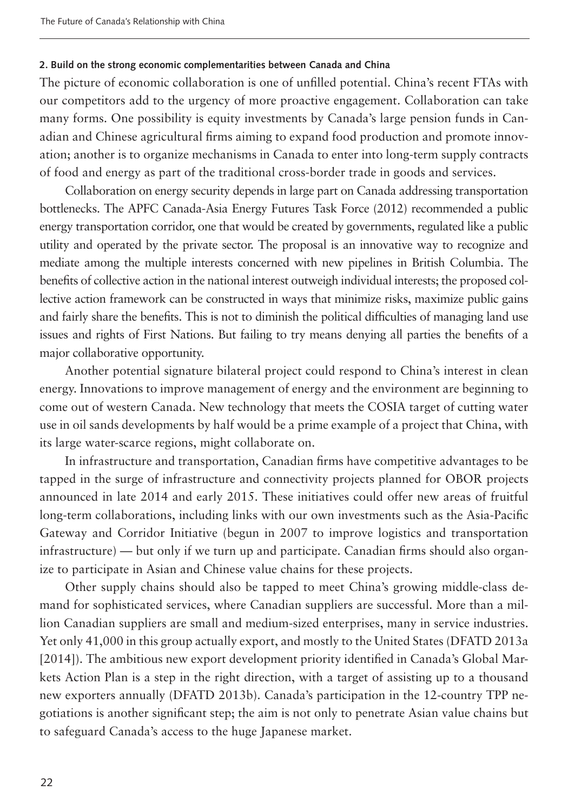#### **2. Build on the strong economic complementarities between Canada and China**

The picture of economic collaboration is one of unfilled potential. China's recent FTAs with our competitors add to the urgency of more proactive engagement. Collaboration can take many forms. One possibility is equity investments by Canada's large pension funds in Canadian and Chinese agricultural firms aiming to expand food production and promote innovation; another is to organize mechanisms in Canada to enter into long-term supply contracts of food and energy as part of the traditional cross-border trade in goods and services.

Collaboration on energy security depends in large part on Canada addressing transportation bottlenecks. The APFC Canada-Asia Energy Futures Task Force (2012) recommended a public energy transportation corridor, one that would be created by governments, regulated like a public utility and operated by the private sector. The proposal is an innovative way to recognize and mediate among the multiple interests concerned with new pipelines in British Columbia. The benefits of collective action in the national interest outweigh individual interests; the proposed collective action framework can be constructed in ways that minimize risks, maximize public gains and fairly share the benefits. This is not to diminish the political difficulties of managing land use issues and rights of First Nations. But failing to try means denying all parties the benefits of a major collaborative opportunity.

Another potential signature bilateral project could respond to China's interest in clean energy. Innovations to improve management of energy and the environment are beginning to come out of western Canada. New technology that meets the COSIA target of cutting water use in oil sands developments by half would be a prime example of a project that China, with its large water-scarce regions, might collaborate on.

In infrastructure and transportation, Canadian firms have competitive advantages to be tapped in the surge of infrastructure and connectivity projects planned for OBOR projects announced in late 2014 and early 2015. These initiatives could offer new areas of fruitful long-term collaborations, including links with our own investments such as the Asia-Pacific Gateway and Corridor Initiative (begun in 2007 to improve logistics and transportation infrastructure) — but only if we turn up and participate. Canadian firms should also organize to participate in Asian and Chinese value chains for these projects.

Other supply chains should also be tapped to meet China's growing middle-class demand for sophisticated services, where Canadian suppliers are successful. More than a million Canadian suppliers are small and medium-sized enterprises, many in service industries. Yet only 41,000 in this group actually export, and mostly to the United States (DFATD 2013a [2014]). The ambitious new export development priority identified in Canada's Global Markets Action Plan is a step in the right direction, with a target of assisting up to a thousand new exporters annually (DFATD 2013b). Canada's participation in the 12-country TPP negotiations is another significant step; the aim is not only to penetrate Asian value chains but to safeguard Canada's access to the huge Japanese market.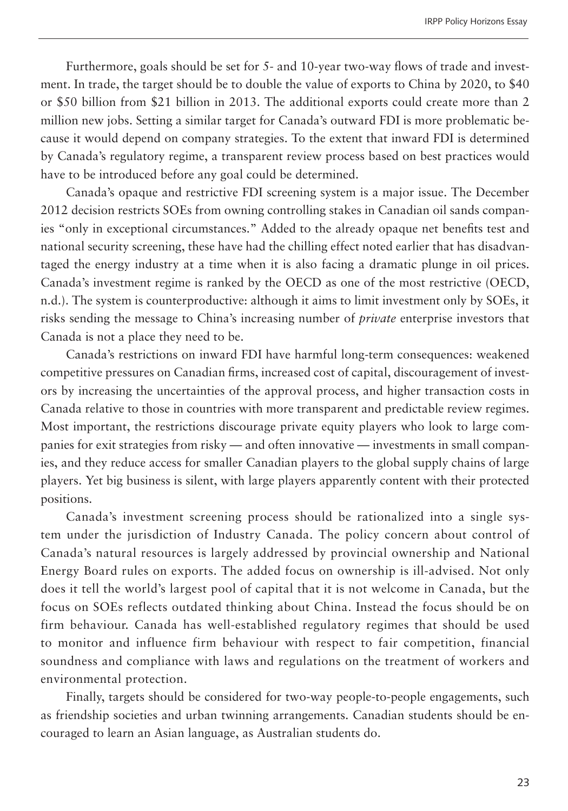Furthermore, goals should be set for 5- and 10-year two-way flows of trade and investment. In trade, the target should be to double the value of exports to China by 2020, to \$40 or \$50 billion from \$21 billion in 2013. The additional exports could create more than 2 million new jobs. Setting a similar target for Canada's outward FDI is more problematic because it would depend on company strategies. To the extent that inward FDI is determined by Canada's regulatory regime, a transparent review process based on best practices would have to be introduced before any goal could be determined.

Canada's opaque and restrictive FDI screening system is a major issue. The December 2012 decision restricts SOEs from owning controlling stakes in Canadian oil sands companies "only in exceptional circumstances." Added to the already opaque net benefits test and national security screening, these have had the chilling effect noted earlier that has disadvantaged the energy industry at a time when it is also facing a dramatic plunge in oil prices. Canada's investment regime is ranked by the OECD as one of the most restrictive (OECD, n.d.). The system is counterproductive: although it aims to limit investment only by SOEs, it risks sending the message to China's increasing number of *private* enterprise investors that Canada is not a place they need to be.

Canada's restrictions on inward FDI have harmful long-term consequences: weakened competitive pressures on Canadian firms, increased cost of capital, discouragement of investors by increasing the uncertainties of the approval process, and higher transaction costs in Canada relative to those in countries with more transparent and predictable review regimes. Most important, the restrictions discourage private equity players who look to large companies for exit strategies from risky — and often innovative — investments in small companies, and they reduce access for smaller Canadian players to the global supply chains of large players. Yet big business is silent, with large players apparently content with their protected positions.

Canada's investment screening process should be rationalized into a single system under the jurisdiction of Industry Canada. The policy concern about control of Canada's natural resources is largely addressed by provincial ownership and National Energy Board rules on exports. The added focus on ownership is ill-advised. Not only does it tell the world's largest pool of capital that it is not welcome in Canada, but the focus on SOEs reflects outdated thinking about China. Instead the focus should be on firm behaviour. Canada has well-established regulatory regimes that should be used to monitor and influence firm behaviour with respect to fair competition, financial soundness and compliance with laws and regulations on the treatment of workers and environmental protection.

Finally, targets should be considered for two-way people-to-people engagements, such as friendship societies and urban twinning arrangements. Canadian students should be encouraged to learn an Asian language, as Australian students do.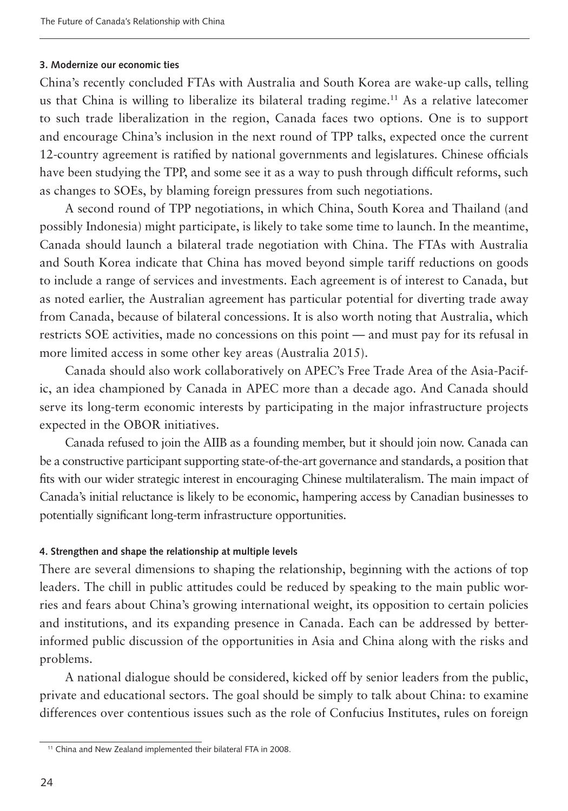#### **3. Modernize our economic ties**

China's recently concluded FTAs with Australia and South Korea are wake-up calls, telling us that China is willing to liberalize its bilateral trading regime.11 As a relative latecomer to such trade liberalization in the region, Canada faces two options. One is to support and encourage China's inclusion in the next round of TPP talks, expected once the current 12-country agreement is ratified by national governments and legislatures. Chinese officials have been studying the TPP, and some see it as a way to push through difficult reforms, such as changes to SOEs, by blaming foreign pressures from such negotiations.

A second round of TPP negotiations, in which China, South Korea and Thailand (and possibly Indonesia) might participate, is likely to take some time to launch. In the meantime, Canada should launch a bilateral trade negotiation with China. The FTAs with Australia and South Korea indicate that China has moved beyond simple tariff reductions on goods to include a range of services and investments. Each agreement is of interest to Canada, but as noted earlier, the Australian agreement has particular potential for diverting trade away from Canada, because of bilateral concessions. It is also worth noting that Australia, which restricts SOE activities, made no concessions on this point — and must pay for its refusal in more limited access in some other key areas (Australia 2015).

Canada should also work collaboratively on APEC's Free Trade Area of the Asia-Pacific, an idea championed by Canada in APEC more than a decade ago. And Canada should serve its long-term economic interests by participating in the major infrastructure projects expected in the OBOR initiatives.

Canada refused to join the AIIB as a founding member, but it should join now. Canada can be a constructive participant supporting state-of-the-art governance and standards, a position that fits with our wider strategic interest in encouraging Chinese multilateralism. The main impact of Canada's initial reluctance is likely to be economic, hampering access by Canadian businesses to potentially significant long-term infrastructure opportunities.

#### **4. Strengthen and shape the relationship at multiple levels**

There are several dimensions to shaping the relationship, beginning with the actions of top leaders. The chill in public attitudes could be reduced by speaking to the main public worries and fears about China's growing international weight, its opposition to certain policies and institutions, and its expanding presence in Canada. Each can be addressed by betterinformed public discussion of the opportunities in Asia and China along with the risks and problems.

A national dialogue should be considered, kicked off by senior leaders from the public, private and educational sectors. The goal should be simply to talk about China: to examine differences over contentious issues such as the role of Confucius Institutes, rules on foreign

<sup>&</sup>lt;sup>11</sup> China and New Zealand implemented their bilateral FTA in 2008.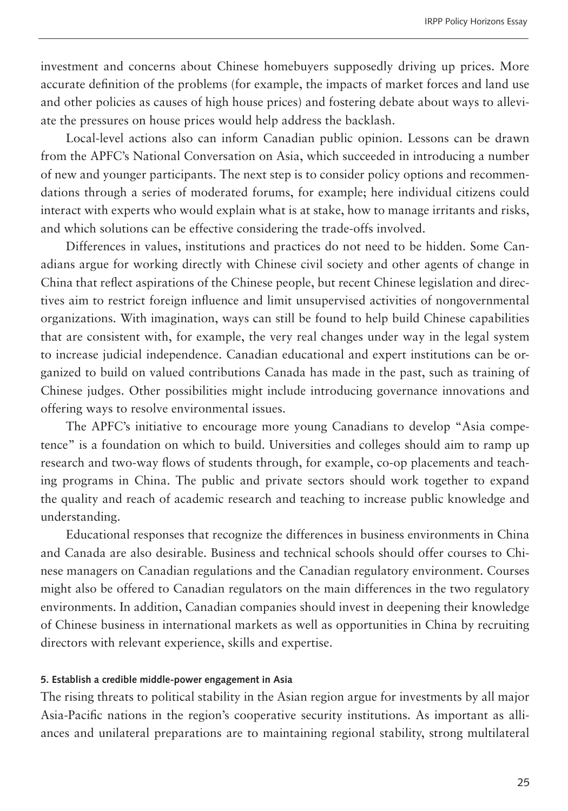investment and concerns about Chinese homebuyers supposedly driving up prices. More accurate definition of the problems (for example, the impacts of market forces and land use and other policies as causes of high house prices) and fostering debate about ways to alleviate the pressures on house prices would help address the backlash.

Local-level actions also can inform Canadian public opinion. Lessons can be drawn from the APFC's National Conversation on Asia, which succeeded in introducing a number of new and younger participants. The next step is to consider policy options and recommendations through a series of moderated forums, for example; here individual citizens could interact with experts who would explain what is at stake, how to manage irritants and risks, and which solutions can be effective considering the trade-offs involved.

Differences in values, institutions and practices do not need to be hidden. Some Canadians argue for working directly with Chinese civil society and other agents of change in China that reflect aspirations of the Chinese people, but recent Chinese legislation and directives aim to restrict foreign influence and limit unsupervised activities of nongovernmental organizations. With imagination, ways can still be found to help build Chinese capabilities that are consistent with, for example, the very real changes under way in the legal system to increase judicial independence. Canadian educational and expert institutions can be organized to build on valued contributions Canada has made in the past, such as training of Chinese judges. Other possibilities might include introducing governance innovations and offering ways to resolve environmental issues.

The APFC's initiative to encourage more young Canadians to develop "Asia competence" is a foundation on which to build. Universities and colleges should aim to ramp up research and two-way flows of students through, for example, co-op placements and teaching programs in China. The public and private sectors should work together to expand the quality and reach of academic research and teaching to increase public knowledge and understanding.

Educational responses that recognize the differences in business environments in China and Canada are also desirable. Business and technical schools should offer courses to Chinese managers on Canadian regulations and the Canadian regulatory environment. Courses might also be offered to Canadian regulators on the main differences in the two regulatory environments. In addition, Canadian companies should invest in deepening their knowledge of Chinese business in international markets as well as opportunities in China by recruiting directors with relevant experience, skills and expertise.

#### **5. Establish a credible middle-power engagement in Asia**

The rising threats to political stability in the Asian region argue for investments by all major Asia-Pacific nations in the region's cooperative security institutions. As important as alliances and unilateral preparations are to maintaining regional stability, strong multilateral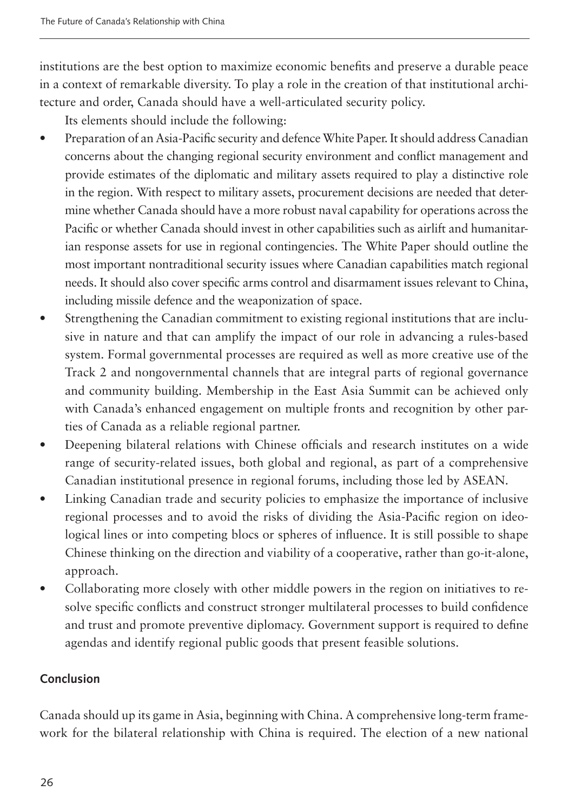institutions are the best option to maximize economic benefits and preserve a durable peace in a context of remarkable diversity. To play a role in the creation of that institutional architecture and order, Canada should have a well-articulated security policy.

Its elements should include the following:

- Preparation of an Asia-Pacific security and defence White Paper. It should address Canadian concerns about the changing regional security environment and conflict management and provide estimates of the diplomatic and military assets required to play a distinctive role in the region. With respect to military assets, procurement decisions are needed that determine whether Canada should have a more robust naval capability for operations across the Pacific or whether Canada should invest in other capabilities such as airlift and humanitarian response assets for use in regional contingencies. The White Paper should outline the most important nontraditional security issues where Canadian capabilities match regional needs. It should also cover specific arms control and disarmament issues relevant to China, including missile defence and the weaponization of space.
- Strengthening the Canadian commitment to existing regional institutions that are inclusive in nature and that can amplify the impact of our role in advancing a rules-based system. Formal governmental processes are required as well as more creative use of the Track 2 and nongovernmental channels that are integral parts of regional governance and community building. Membership in the East Asia Summit can be achieved only with Canada's enhanced engagement on multiple fronts and recognition by other parties of Canada as a reliable regional partner.
- Deepening bilateral relations with Chinese officials and research institutes on a wide range of security-related issues, both global and regional, as part of a comprehensive Canadian institutional presence in regional forums, including those led by ASEAN.
- Linking Canadian trade and security policies to emphasize the importance of inclusive regional processes and to avoid the risks of dividing the Asia-Pacific region on ideological lines or into competing blocs or spheres of influence. It is still possible to shape Chinese thinking on the direction and viability of a cooperative, rather than go-it-alone, approach.
- Collaborating more closely with other middle powers in the region on initiatives to resolve specific conflicts and construct stronger multilateral processes to build confidence and trust and promote preventive diplomacy. Government support is required to define agendas and identify regional public goods that present feasible solutions.

# **Conclusion**

Canada should up its game in Asia, beginning with China. A comprehensive long-term framework for the bilateral relationship with China is required. The election of a new national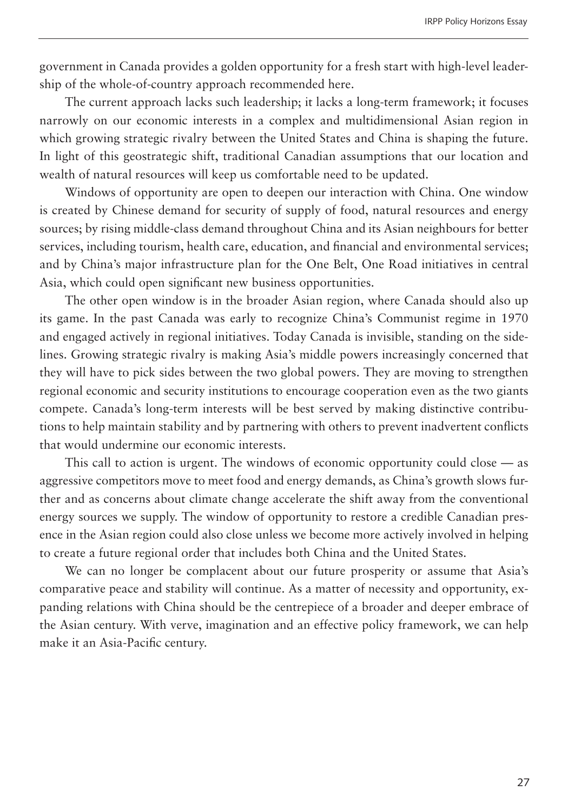government in Canada provides a golden opportunity for a fresh start with high-level leadership of the whole-of-country approach recommended here.

The current approach lacks such leadership; it lacks a long-term framework; it focuses narrowly on our economic interests in a complex and multidimensional Asian region in which growing strategic rivalry between the United States and China is shaping the future. In light of this geostrategic shift, traditional Canadian assumptions that our location and wealth of natural resources will keep us comfortable need to be updated.

Windows of opportunity are open to deepen our interaction with China. One window is created by Chinese demand for security of supply of food, natural resources and energy sources; by rising middle-class demand throughout China and its Asian neighbours for better services, including tourism, health care, education, and financial and environmental services; and by China's major infrastructure plan for the One Belt, One Road initiatives in central Asia, which could open significant new business opportunities.

The other open window is in the broader Asian region, where Canada should also up its game. In the past Canada was early to recognize China's Communist regime in 1970 and engaged actively in regional initiatives. Today Canada is invisible, standing on the sidelines. Growing strategic rivalry is making Asia's middle powers increasingly concerned that they will have to pick sides between the two global powers. They are moving to strengthen regional economic and security institutions to encourage cooperation even as the two giants compete. Canada's long-term interests will be best served by making distinctive contributions to help maintain stability and by partnering with others to prevent inadvertent conflicts that would undermine our economic interests.

This call to action is urgent. The windows of economic opportunity could close — as aggressive competitors move to meet food and energy demands, as China's growth slows further and as concerns about climate change accelerate the shift away from the conventional energy sources we supply. The window of opportunity to restore a credible Canadian presence in the Asian region could also close unless we become more actively involved in helping to create a future regional order that includes both China and the United States.

We can no longer be complacent about our future prosperity or assume that Asia's comparative peace and stability will continue. As a matter of necessity and opportunity, expanding relations with China should be the centrepiece of a broader and deeper embrace of the Asian century. With verve, imagination and an effective policy framework, we can help make it an Asia-Pacific century.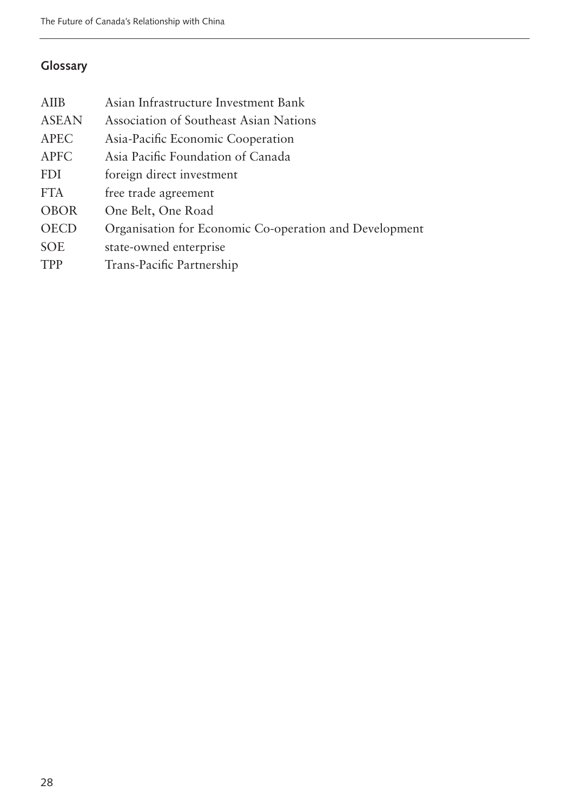# **Glossary**

| <b>AIIB</b>  | Asian Infrastructure Investment Bank                   |
|--------------|--------------------------------------------------------|
| <b>ASEAN</b> | Association of Southeast Asian Nations                 |
| <b>APEC</b>  | Asia-Pacific Economic Cooperation                      |
| <b>APFC</b>  | Asia Pacific Foundation of Canada                      |
| <b>FDI</b>   | foreign direct investment                              |
| <b>FTA</b>   | free trade agreement                                   |
| <b>OBOR</b>  | One Belt, One Road                                     |
| <b>OECD</b>  | Organisation for Economic Co-operation and Development |
| <b>SOE</b>   | state-owned enterprise                                 |
| <b>TPP</b>   | Trans-Pacific Partnership                              |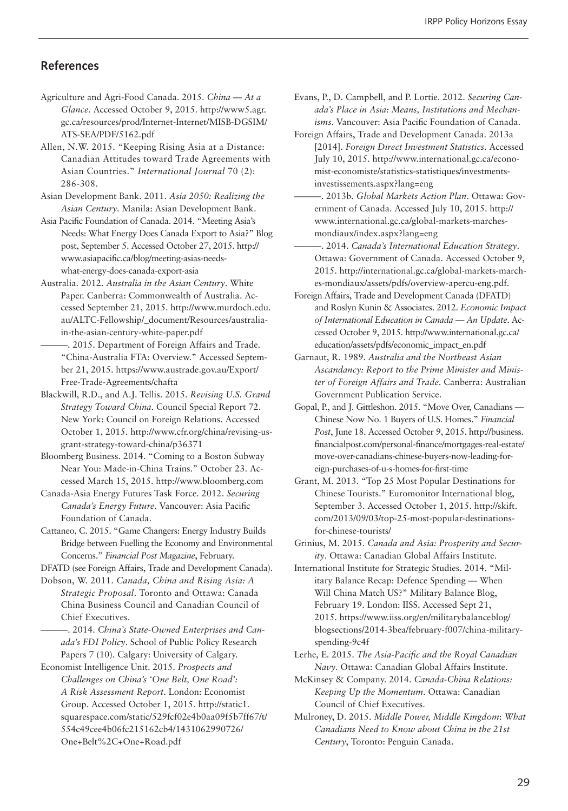#### **References**

- Agriculture and Agri-Food Canada. 2015. *China At a Glance.* Accessed October 9, 2015. http://www5.agr. gc.ca/resources/prod/Internet-Internet/MISB-DGSIM/ ATS-SEA/PDF/5162.pdf
- Allen, N.W. 2015. "Keeping Rising Asia at a Distance: Canadian Attitudes toward Trade Agreements with Asian Countries." *International Journal* 70 (2): 286-308.
- Asian Development Bank. 2011. *Asia 2050: Realizing the Asian Century*. Manila: Asian Development Bank.
- Asia Pacific Foundation of Canada. 2014. "Meeting Asia's Needs: What Energy Does Canada Export to Asia?" Blog post, September 5. Accessed October 27, 2015. http:// www.asiapacific.ca/blog/meeting-asias-needswhat-energy-does-canada-export-asia
- Australia. 2012. *Australia in the Asian Century*. White Paper. Canberra: Commonwealth of Australia. Accessed September 21, 2015. http://www.murdoch.edu. au/ALTC-Fellowship/\_document/Resources/australiain-the-asian-century-white-paper.pdf
- ———. 2015. Department of Foreign Affairs and Trade. "China-Australia FTA: Overview." Accessed September 21, 2015. https://www.austrade.gov.au/Export/ Free-Trade-Agreements/chafta
- Blackwill, R.D., and A.J. Tellis. 2015. *Revising U.S. Grand Strategy Toward China*. Council Special Report 72. New York: Council on Foreign Relations. Accessed October 1, 2015. http://www.cfr.org/china/revising-usgrant-strategy-toward-china/p36371
- Bloomberg Business. 2014. "Coming to a Boston Subway Near You: Made-in-China Trains." October 23. Accessed March 15, 2015. http://www.bloomberg.com
- Canada-Asia Energy Futures Task Force. 2012. *Securing Canada's Energy Future*. Vancouver: Asia Pacific Foundation of Canada.
- Cattaneo, C. 2015. "Game Changers: Energy Industry Builds Bridge between Fuelling the Economy and Environmental Concerns." *Financial Post Magazine*, February.
- DFATD (see Foreign Affairs, Trade and Development Canada).
- Dobson, W. 2011. *Canada, China and Rising Asia: A Strategic Proposal*. Toronto and Ottawa: Canada China Business Council and Canadian Council of Chief Executives.
	- ———. 2014. *China's State-Owned Enterprises and Canada's FDI Policy*. School of Public Policy Research Papers 7 (10). Calgary: University of Calgary.
- Economist Intelligence Unit. 2015. *Prospects and Challenges on China's 'One Belt, One Road': A Risk Assessment Report*. London: Economist Group. Accessed October 1, 2015. http://static1. squarespace.com/static/529fcf02e4b0aa09f5b7ff67/t/ 554c49cee4b06fc215162cb4/1431062990726/ One+Belt%2C+One+Road.pdf
- Evans, P., D. Campbell, and P. Lortie. 2012. *Securing Canada's Place in Asia: Means, Institutions and Mechanisms*. Vancouver: Asia Pacific Foundation of Canada.
- Foreign Affairs, Trade and Development Canada. 2013a [2014]. *Foreign Direct Investment Statistics*. Accessed July 10, 2015. http://www.international.gc.ca/economist-economiste/statistics-statistiques/investmentsinvestissements.aspx?lang=eng
- ———. 2013b. *Global Markets Action Plan*. Ottawa: Government of Canada. Accessed July 10, 2015. http:// www.international.gc.ca/global-markets-marchesmondiaux/index.aspx?lang=eng
- ———. 2014. *Canada's International Education Strategy*. Ottawa: Government of Canada. Accessed October 9, 2015. http://international.gc.ca/global-markets-marches-mondiaux/assets/pdfs/overview-apercu-eng.pdf.
- Foreign Affairs, Trade and Development Canada (DFATD) and Roslyn Kunin & Associates. 2012. *Economic Impact of International Education in Canada — An Update*. Accessed October 9, 2015. http://www.international.gc.ca/ education/assets/pdfs/economic\_impact\_en.pdf
- Garnaut, R. 1989. *Australia and the Northeast Asian Ascandancy: Report to the Prime Minister and Minister of Foreign Affairs and Trade*. Canberra: Australian Government Publication Service.
- Gopal, P., and J. Gittleshon. 2015. "Move Over, Canadians Chinese Now No. 1 Buyers of U.S. Homes." *Financial Post*, June 18. Accessed October 9, 2015. http://business. financialpost.com/personal-finance/mortgages-real-estate/ move-over-canadians-chinese-buyers-now-leading-foreign-purchases-of-u-s-homes-for-first-time
- Grant, M. 2013. "Top 25 Most Popular Destinations for Chinese Tourists." Euromonitor International blog, September 3. Accessed October 1, 2015. http://skift. com/2013/09/03/top-25-most-popular-destinationsfor-chinese-tourists/
- Grinius, M. 2015. *Canada and Asia: Prosperity and Security*. Ottawa: Canadian Global Affairs Institute.
- International Institute for Strategic Studies. 2014. "Military Balance Recap: Defence Spending — When Will China Match US?" Military Balance Blog, February 19. London: IISS. Accessed Sept 21, 2015. https://www.iiss.org/en/militarybalanceblog/ blogsections/2014-3bea/february-f007/china-militaryspending-9c4f

Lerhe, E. 2015. *The Asia-Pacific and the Royal Canadian Navy*. Ottawa: Canadian Global Affairs Institute.

- McKinsey & Company. 2014. *Canada-China Relations: Keeping Up the Momentum*. Ottawa: Canadian Council of Chief Executives.
- Mulroney, D. 2015. *Middle Power, Middle Kingdom*: *What Canadians Need to Know about China in the 21st Century*, Toronto: Penguin Canada.